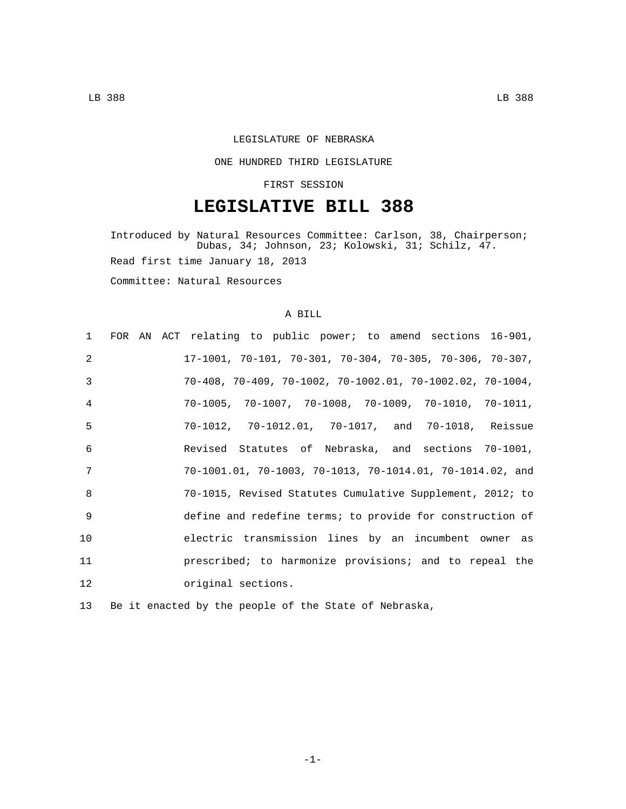### LEGISLATURE OF NEBRASKA

#### ONE HUNDRED THIRD LEGISLATURE

### FIRST SESSION

# **LEGISLATIVE BILL 388**

Introduced by Natural Resources Committee: Carlson, 38, Chairperson; Dubas, 34; Johnson, 23; Kolowski, 31; Schilz, 47. Read first time January 18, 2013 Committee: Natural Resources

### A BILL

| $1 \quad$    | FOR AN ACT relating to public power; to amend sections 16-901,                |
|--------------|-------------------------------------------------------------------------------|
| 2            | $17-1001$ , $70-101$ , $70-301$ , $70-304$ , $70-305$ , $70-306$ , $70-307$ , |
| 3            | $70-408$ , $70-409$ , $70-1002$ , $70-1002.01$ , $70-1002.02$ , $70-1004$ ,   |
| 4            | $70-1005$ , $70-1007$ , $70-1008$ , $70-1009$ , $70-1010$ , $70-1011$ ,       |
| 5            | 70-1012, 70-1012.01, 70-1017, and 70-1018, Reissue                            |
| 6            | Revised Statutes of Nebraska, and sections 70-1001,                           |
| 7            | $70-1001.01$ , $70-1003$ , $70-1013$ , $70-1014.01$ , $70-1014.02$ , and      |
| $\mathsf{R}$ | 70-1015, Revised Statutes Cumulative Supplement, 2012; to                     |
| -9           | define and redefine terms; to provide for construction of                     |
| 10           | electric transmission lines by an incumbent owner as                          |
| 11           | prescribed; to harmonize provisions; and to repeal the                        |
| 12           | original sections.                                                            |
|              |                                                                               |

13 Be it enacted by the people of the State of Nebraska,

-1-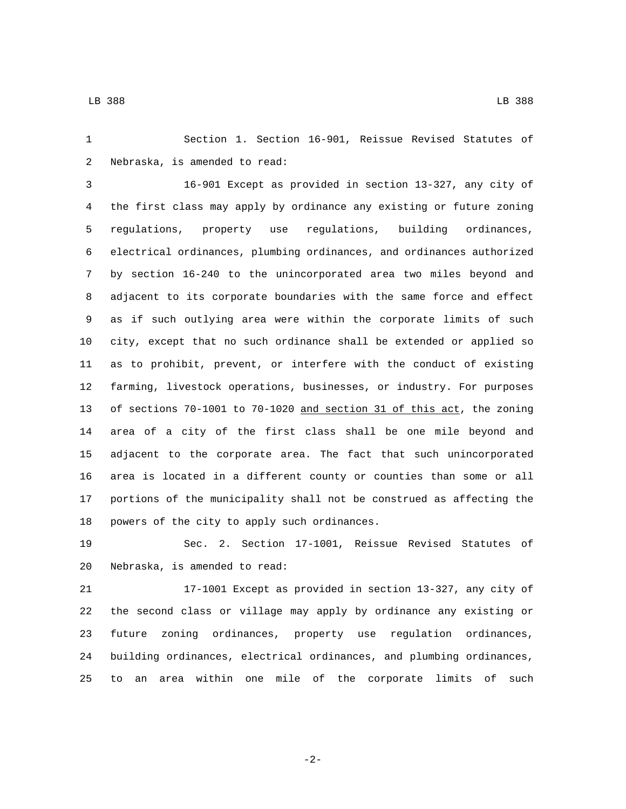Section 1. Section 16-901, Reissue Revised Statutes of 2 Nebraska, is amended to read:

 16-901 Except as provided in section 13-327, any city of the first class may apply by ordinance any existing or future zoning regulations, property use regulations, building ordinances, electrical ordinances, plumbing ordinances, and ordinances authorized by section 16-240 to the unincorporated area two miles beyond and adjacent to its corporate boundaries with the same force and effect as if such outlying area were within the corporate limits of such city, except that no such ordinance shall be extended or applied so as to prohibit, prevent, or interfere with the conduct of existing farming, livestock operations, businesses, or industry. For purposes of sections 70-1001 to 70-1020 and section 31 of this act, the zoning area of a city of the first class shall be one mile beyond and adjacent to the corporate area. The fact that such unincorporated area is located in a different county or counties than some or all portions of the municipality shall not be construed as affecting the 18 powers of the city to apply such ordinances.

 Sec. 2. Section 17-1001, Reissue Revised Statutes of 20 Nebraska, is amended to read:

 17-1001 Except as provided in section 13-327, any city of the second class or village may apply by ordinance any existing or future zoning ordinances, property use regulation ordinances, building ordinances, electrical ordinances, and plumbing ordinances, to an area within one mile of the corporate limits of such

-2-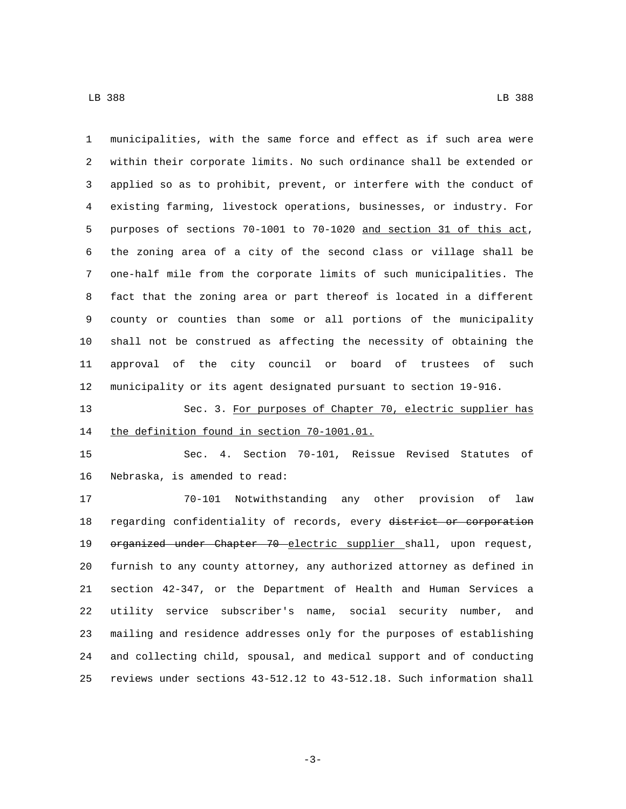municipalities, with the same force and effect as if such area were within their corporate limits. No such ordinance shall be extended or applied so as to prohibit, prevent, or interfere with the conduct of existing farming, livestock operations, businesses, or industry. For purposes of sections 70-1001 to 70-1020 and section 31 of this act, the zoning area of a city of the second class or village shall be one-half mile from the corporate limits of such municipalities. The fact that the zoning area or part thereof is located in a different county or counties than some or all portions of the municipality shall not be construed as affecting the necessity of obtaining the approval of the city council or board of trustees of such municipality or its agent designated pursuant to section 19-916.

13 Sec. 3. For purposes of Chapter 70, electric supplier has 14 the definition found in section 70-1001.01.

 Sec. 4. Section 70-101, Reissue Revised Statutes of 16 Nebraska, is amended to read:

 70-101 Notwithstanding any other provision of law 18 regarding confidentiality of records, every district or corporation 19 organized under Chapter 70 electric supplier shall, upon request, furnish to any county attorney, any authorized attorney as defined in section 42-347, or the Department of Health and Human Services a utility service subscriber's name, social security number, and mailing and residence addresses only for the purposes of establishing and collecting child, spousal, and medical support and of conducting reviews under sections 43-512.12 to 43-512.18. Such information shall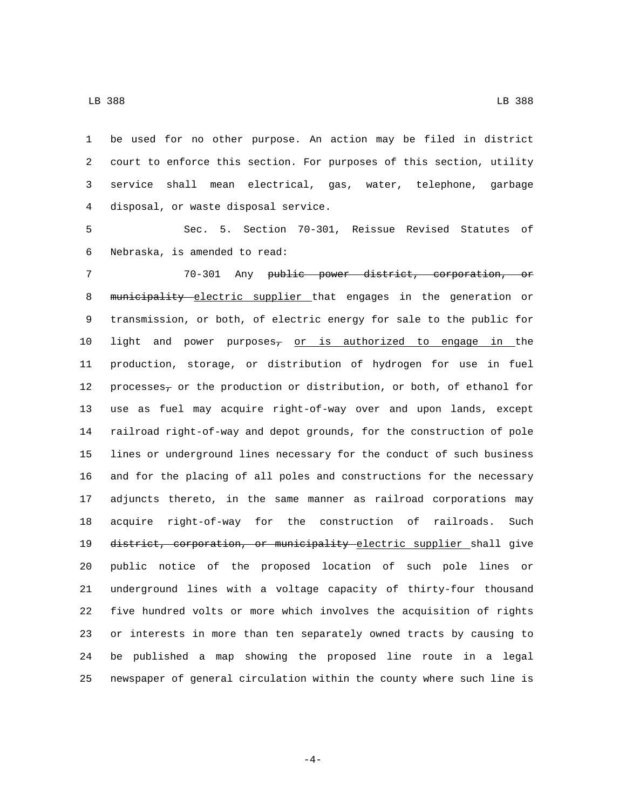be used for no other purpose. An action may be filed in district court to enforce this section. For purposes of this section, utility service shall mean electrical, gas, water, telephone, garbage 4 disposal, or waste disposal service.

 Sec. 5. Section 70-301, Reissue Revised Statutes of 6 Nebraska, is amended to read:

 70-301 Any public power district, corporation, or 8 municipality electric supplier that engages in the generation or transmission, or both, of electric energy for sale to the public for 10 light and power purposes<sub>7</sub> or is authorized to engage in the production, storage, or distribution of hydrogen for use in fuel 12 processes<sub>7</sub> or the production or distribution, or both, of ethanol for use as fuel may acquire right-of-way over and upon lands, except railroad right-of-way and depot grounds, for the construction of pole lines or underground lines necessary for the conduct of such business and for the placing of all poles and constructions for the necessary adjuncts thereto, in the same manner as railroad corporations may acquire right-of-way for the construction of railroads. Such 19 district, corporation, or municipality electric supplier shall give public notice of the proposed location of such pole lines or underground lines with a voltage capacity of thirty-four thousand five hundred volts or more which involves the acquisition of rights or interests in more than ten separately owned tracts by causing to be published a map showing the proposed line route in a legal newspaper of general circulation within the county where such line is

-4-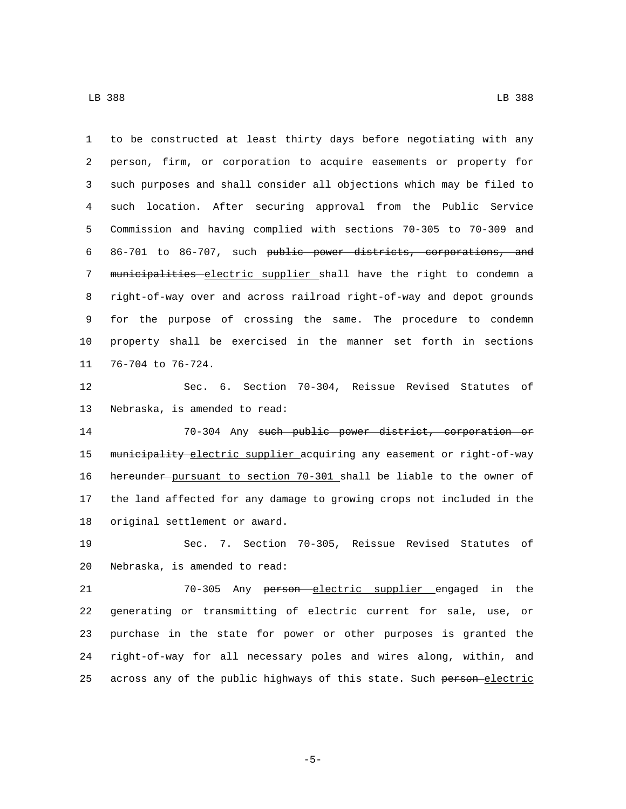to be constructed at least thirty days before negotiating with any person, firm, or corporation to acquire easements or property for such purposes and shall consider all objections which may be filed to such location. After securing approval from the Public Service Commission and having complied with sections 70-305 to 70-309 and 86-701 to 86-707, such public power districts, corporations, and 7 municipalities electric supplier shall have the right to condemn a right-of-way over and across railroad right-of-way and depot grounds for the purpose of crossing the same. The procedure to condemn property shall be exercised in the manner set forth in sections 11 76-704 to 76-724.

 Sec. 6. Section 70-304, Reissue Revised Statutes of 13 Nebraska, is amended to read:

 70-304 Any such public power district, corporation or 15 municipality electric supplier acquiring any easement or right-of-way hereunder pursuant to section 70-301 shall be liable to the owner of the land affected for any damage to growing crops not included in the 18 original settlement or award.

 Sec. 7. Section 70-305, Reissue Revised Statutes of 20 Nebraska, is amended to read:

 70-305 Any person electric supplier engaged in the generating or transmitting of electric current for sale, use, or purchase in the state for power or other purposes is granted the right-of-way for all necessary poles and wires along, within, and 25 across any of the public highways of this state. Such person electric

-5-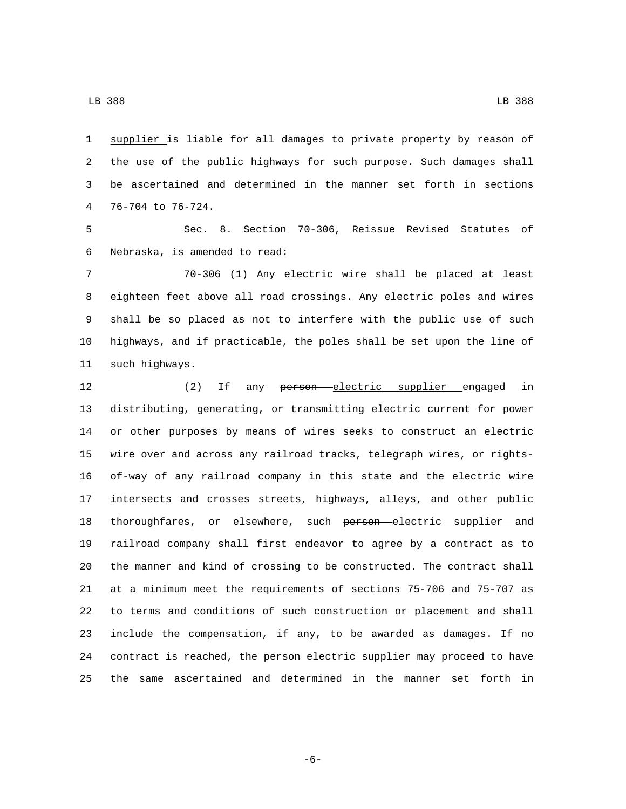supplier is liable for all damages to private property by reason of the use of the public highways for such purpose. Such damages shall be ascertained and determined in the manner set forth in sections 4 76-704 to 76-724.

 Sec. 8. Section 70-306, Reissue Revised Statutes of 6 Nebraska, is amended to read:

 70-306 (1) Any electric wire shall be placed at least eighteen feet above all road crossings. Any electric poles and wires shall be so placed as not to interfere with the public use of such highways, and if practicable, the poles shall be set upon the line of 11 such highways.

12 (2) If any person electric supplier engaged in distributing, generating, or transmitting electric current for power or other purposes by means of wires seeks to construct an electric wire over and across any railroad tracks, telegraph wires, or rights- of-way of any railroad company in this state and the electric wire intersects and crosses streets, highways, alleys, and other public 18 thoroughfares, or elsewhere, such person electric supplier and railroad company shall first endeavor to agree by a contract as to the manner and kind of crossing to be constructed. The contract shall at a minimum meet the requirements of sections 75-706 and 75-707 as to terms and conditions of such construction or placement and shall include the compensation, if any, to be awarded as damages. If no 24 contract is reached, the person-electric supplier may proceed to have the same ascertained and determined in the manner set forth in

-6-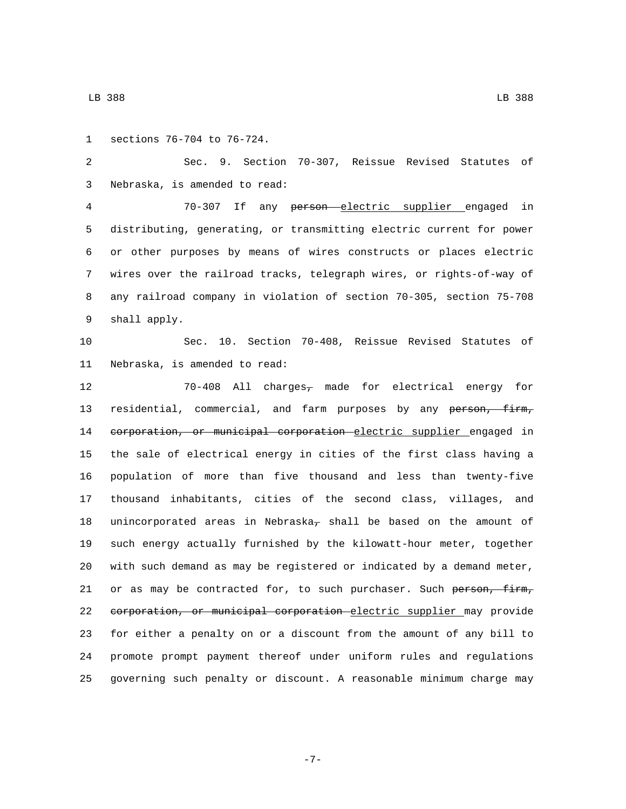1 sections 76-704 to 76-724.

 Sec. 9. Section 70-307, Reissue Revised Statutes of 3 Nebraska, is amended to read:

 70-307 If any person electric supplier engaged in distributing, generating, or transmitting electric current for power or other purposes by means of wires constructs or places electric wires over the railroad tracks, telegraph wires, or rights-of-way of any railroad company in violation of section 70-305, section 75-708 9 shall apply.

 Sec. 10. Section 70-408, Reissue Revised Statutes of 11 Nebraska, is amended to read:

 70-408 All charges, made for electrical energy for 13 residential, commercial, and farm purposes by any person, firm, 14 corporation, or municipal corporation electric supplier engaged in the sale of electrical energy in cities of the first class having a population of more than five thousand and less than twenty-five thousand inhabitants, cities of the second class, villages, and 18 unincorporated areas in Nebraska<sub> $\tau$ </sub> shall be based on the amount of such energy actually furnished by the kilowatt-hour meter, together with such demand as may be registered or indicated by a demand meter, 21 or as may be contracted for, to such purchaser. Such person, firm, corporation, or municipal corporation electric supplier may provide for either a penalty on or a discount from the amount of any bill to promote prompt payment thereof under uniform rules and regulations governing such penalty or discount. A reasonable minimum charge may

-7-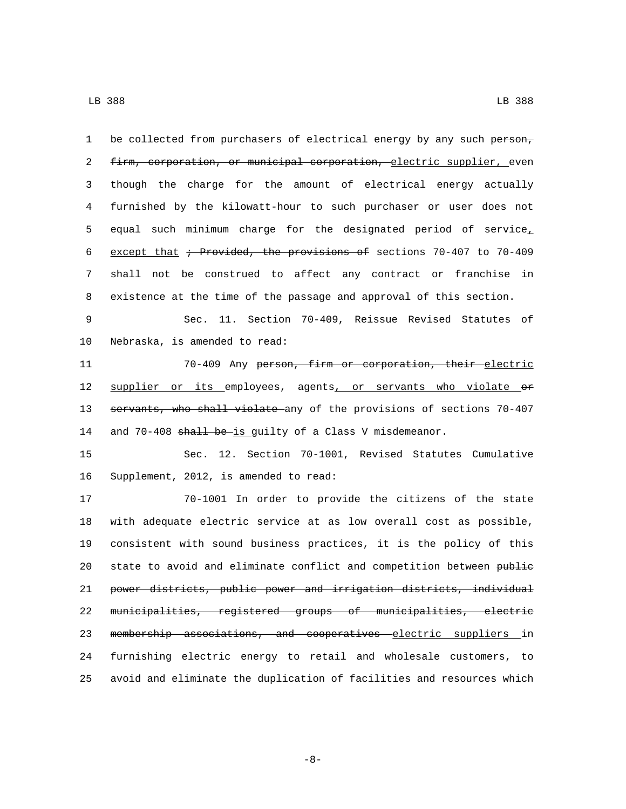| $\mathbf{1}$ | be collected from purchasers of electrical energy by any such person,    |
|--------------|--------------------------------------------------------------------------|
| 2            | firm, corporation, or municipal corporation, electric supplier, even     |
| 3            | though the charge for the amount of electrical energy actually           |
| 4            | furnished by the kilowatt-hour to such purchaser or user does not        |
| 5            | equal such minimum charge for the designated period of service,          |
| 6            | except that $\div$ Provided, the provisions of sections 70-407 to 70-409 |
| 7            | shall not be construed to affect any contract or franchise in            |
| 8            | existence at the time of the passage and approval of this section.       |
| 9            | Sec. 11. Section 70-409, Reissue Revised Statutes of                     |
| 10           | Nebraska, is amended to read:                                            |
| 11           | 70-409 Any person, firm or corporation, their electric                   |
| 12           | supplier or its employees, agents, or servants who violate or            |
| 13           | servants, who shall violate any of the provisions of sections 70-407     |
| 14           | and 70-408 shall be-is guilty of a Class V misdemeanor.                  |
| 15           | Sec. 12. Section 70-1001, Revised Statutes Cumulative                    |
| 16           | Supplement, 2012, is amended to read:                                    |
| 17           | 70-1001 In order to provide the citizens of the state                    |
| 18           | with adequate electric service at as low overall cost as possible,       |
| 19           | consistent with sound business practices, it is the policy of this       |
| 20           | state to avoid and eliminate conflict and competition between public     |
| 21           | power districts, public power and irrigation districts, individual       |
| 22           | municipalities, registered groups of municipalities, electric            |
| 23           | membership associations, and cooperatives electric suppliers in          |
| 24           | furnishing electric energy to retail and wholesale customers, to         |
| 25           | avoid and eliminate the duplication of facilities and resources which    |

-8-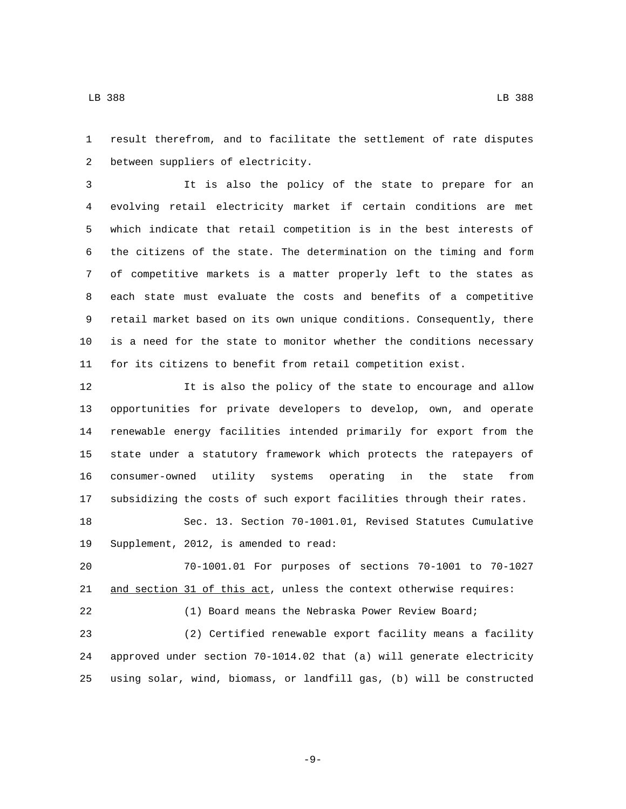result therefrom, and to facilitate the settlement of rate disputes

2 between suppliers of electricity.

 It is also the policy of the state to prepare for an evolving retail electricity market if certain conditions are met which indicate that retail competition is in the best interests of the citizens of the state. The determination on the timing and form of competitive markets is a matter properly left to the states as each state must evaluate the costs and benefits of a competitive retail market based on its own unique conditions. Consequently, there is a need for the state to monitor whether the conditions necessary for its citizens to benefit from retail competition exist.

 It is also the policy of the state to encourage and allow opportunities for private developers to develop, own, and operate renewable energy facilities intended primarily for export from the state under a statutory framework which protects the ratepayers of consumer-owned utility systems operating in the state from subsidizing the costs of such export facilities through their rates. Sec. 13. Section 70-1001.01, Revised Statutes Cumulative

19 Supplement, 2012, is amended to read:

 70-1001.01 For purposes of sections 70-1001 to 70-1027 21 and section 31 of this act, unless the context otherwise requires:

 (1) Board means the Nebraska Power Review Board; (2) Certified renewable export facility means a facility approved under section 70-1014.02 that (a) will generate electricity using solar, wind, biomass, or landfill gas, (b) will be constructed

LB 388 LB 388

-9-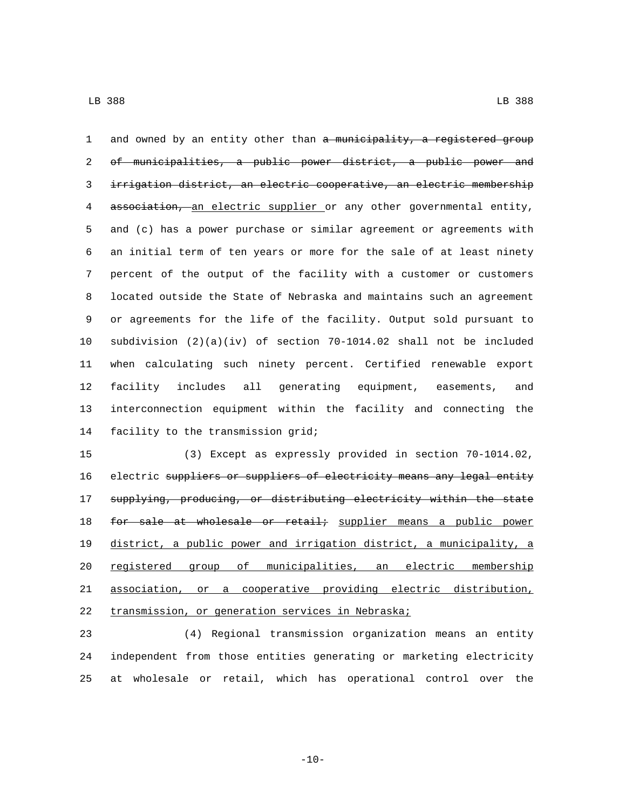1 and owned by an entity other than a municipality, a registered group of municipalities, a public power district, a public power and irrigation district, an electric cooperative, an electric membership association, an electric supplier or any other governmental entity, and (c) has a power purchase or similar agreement or agreements with an initial term of ten years or more for the sale of at least ninety percent of the output of the facility with a customer or customers located outside the State of Nebraska and maintains such an agreement or agreements for the life of the facility. Output sold pursuant to subdivision (2)(a)(iv) of section 70-1014.02 shall not be included when calculating such ninety percent. Certified renewable export facility includes all generating equipment, easements, and interconnection equipment within the facility and connecting the 14 facility to the transmission grid;

 (3) Except as expressly provided in section 70-1014.02, 16 electric suppliers or suppliers of electricity means any legal entity supplying, producing, or distributing electricity within the state 18 for sale at wholesale or retail; supplier means a public power district, a public power and irrigation district, a municipality, a registered group of municipalities, an electric membership association, or a cooperative providing electric distribution, 22 transmission, or generation services in Nebraska;

 (4) Regional transmission organization means an entity independent from those entities generating or marketing electricity at wholesale or retail, which has operational control over the

 $-10-$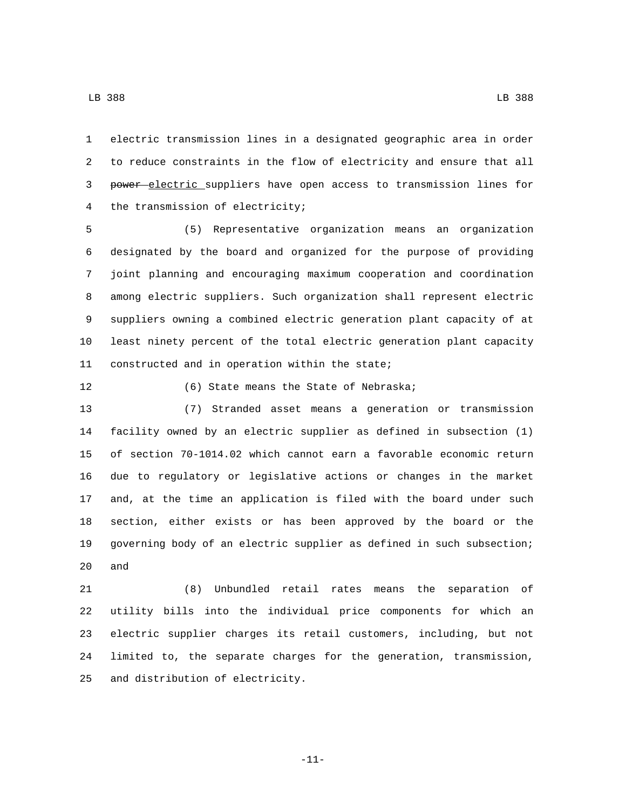electric transmission lines in a designated geographic area in order to reduce constraints in the flow of electricity and ensure that all 3 power electric suppliers have open access to transmission lines for 4 the transmission of electricity;

 (5) Representative organization means an organization designated by the board and organized for the purpose of providing joint planning and encouraging maximum cooperation and coordination among electric suppliers. Such organization shall represent electric suppliers owning a combined electric generation plant capacity of at least ninety percent of the total electric generation plant capacity 11 constructed and in operation within the state;

## 12 (6) State means the State of Nebraska;

 (7) Stranded asset means a generation or transmission facility owned by an electric supplier as defined in subsection (1) of section 70-1014.02 which cannot earn a favorable economic return due to regulatory or legislative actions or changes in the market and, at the time an application is filed with the board under such section, either exists or has been approved by the board or the governing body of an electric supplier as defined in such subsection; and

 (8) Unbundled retail rates means the separation of utility bills into the individual price components for which an electric supplier charges its retail customers, including, but not limited to, the separate charges for the generation, transmission, 25 and distribution of electricity.

-11-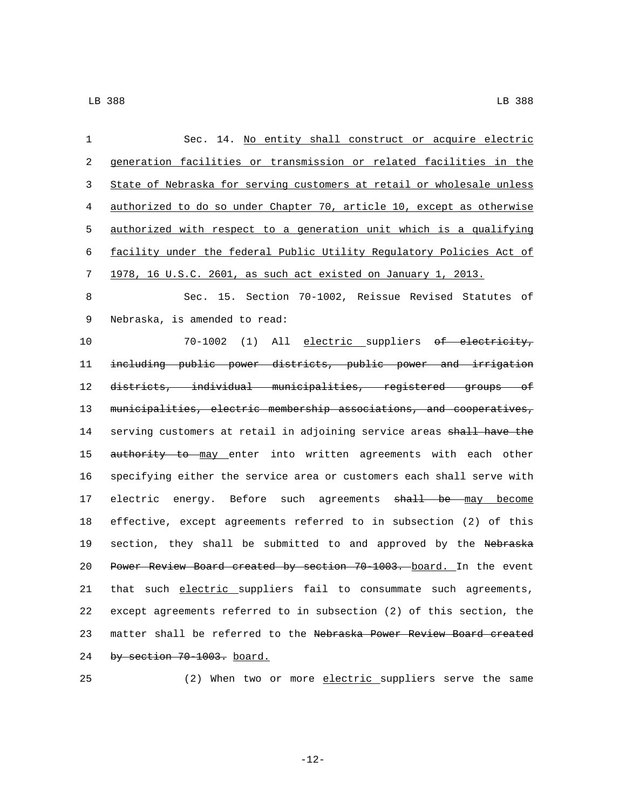| 1  | Sec. 14. No entity shall construct or acquire electric                  |
|----|-------------------------------------------------------------------------|
| 2  | generation facilities or transmission or related facilities in the      |
| 3  | State of Nebraska for serving customers at retail or wholesale unless   |
| 4  | authorized to do so under Chapter 70, article 10, except as otherwise   |
| 5  | authorized with respect to a generation unit which is a qualifying      |
| 6  | facility under the federal Public Utility Regulatory Policies Act of    |
| 7  | 1978, 16 U.S.C. 2601, as such act existed on January 1, 2013.           |
| 8  | Sec. 15. Section 70-1002, Reissue Revised Statutes of                   |
| 9  | Nebraska, is amended to read:                                           |
| 10 | 70-1002 (1) All electric suppliers of electricity,                      |
| 11 | including public power districts, public power and irrigation           |
| 12 | districts, individual municipalities, registered groups of              |
| 13 | municipalities, electric membership associations, and cooperatives,     |
| 14 | serving customers at retail in adjoining service areas shall have the   |
| 15 | authority to may enter into written agreements with each other          |
| 16 | specifying either the service area or customers each shall serve with   |
| 17 | electric energy. Before such agreements <del>shall be </del> may become |
| 18 | effective, except agreements referred to in subsection (2) of this      |
| 19 | section, they shall be submitted to and approved by the Nebraska        |
| 20 | Power Review Board created by section 70-1003. board. In the event      |
| 21 | that such electric suppliers fail to consummate such agreements,        |
| 22 | except agreements referred to in subsection (2) of this section, the    |
| 23 | matter shall be referred to the Nebraska Power Review Board created     |
| 24 | by section 70-1003. board.                                              |

(2) When two or more electric suppliers serve the same

-12-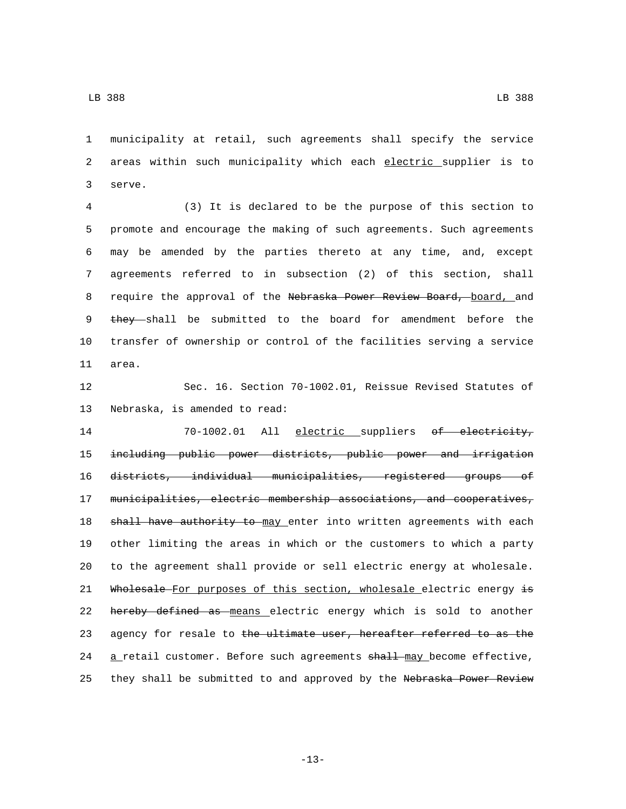1 municipality at retail, such agreements shall specify the service 2 areas within such municipality which each electric supplier is to 3 serve.

 (3) It is declared to be the purpose of this section to promote and encourage the making of such agreements. Such agreements may be amended by the parties thereto at any time, and, except agreements referred to in subsection (2) of this section, shall 8 require the approval of the Nebraska Power Review Board, board, and 9 they shall be submitted to the board for amendment before the transfer of ownership or control of the facilities serving a service 11 area.

12 Sec. 16. Section 70-1002.01, Reissue Revised Statutes of 13 Nebraska, is amended to read:

14 70-1002.01 All electric suppliers of electricity, 15 including public power districts, public power and irrigation 16 districts, individual municipalities, registered groups of 17 municipalities, electric membership associations, and cooperatives, 18 shall have authority to may enter into written agreements with each 19 other limiting the areas in which or the customers to which a party 20 to the agreement shall provide or sell electric energy at wholesale. 21 Wholesale For purposes of this section, wholesale electric energy is 22 hereby defined as means electric energy which is sold to another 23 agency for resale to the ultimate user, hereafter referred to as the 24 a retail customer. Before such agreements shall may become effective, 25 they shall be submitted to and approved by the Nebraska Power Review

-13-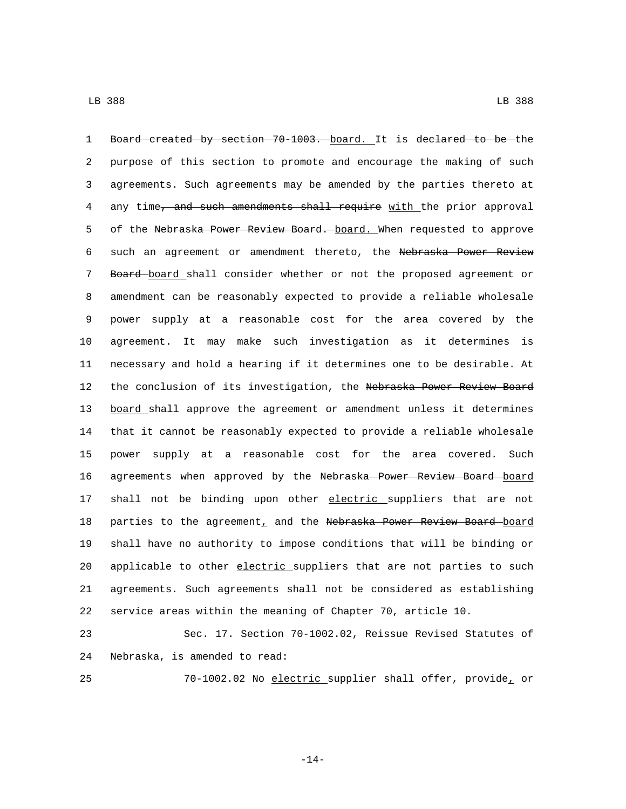1 Board created by section 70-1003. board. It is declared to be the 2 purpose of this section to promote and encourage the making of such 3 agreements. Such agreements may be amended by the parties thereto at 4 any time, and such amendments shall require with the prior approval 5 of the Nebraska Power Review Board. board. When requested to approve 6 such an agreement or amendment thereto, the Nebraska Power Review 7 Board board shall consider whether or not the proposed agreement or 8 amendment can be reasonably expected to provide a reliable wholesale 9 power supply at a reasonable cost for the area covered by the 10 agreement. It may make such investigation as it determines is 11 necessary and hold a hearing if it determines one to be desirable. At 12 the conclusion of its investigation, the Nebraska Power Review Board 13 board shall approve the agreement or amendment unless it determines 14 that it cannot be reasonably expected to provide a reliable wholesale 15 power supply at a reasonable cost for the area covered. Such 16 agreements when approved by the Nebraska Power Review Board board 17 shall not be binding upon other electric suppliers that are not 18 parties to the agreement, and the Nebraska Power Review Board board 19 shall have no authority to impose conditions that will be binding or 20 applicable to other electric suppliers that are not parties to such 21 agreements. Such agreements shall not be considered as establishing 22 service areas within the meaning of Chapter 70, article 10.

23 Sec. 17. Section 70-1002.02, Reissue Revised Statutes of 24 Nebraska, is amended to read:

25 70-1002.02 No electric supplier shall offer, provide, or

-14-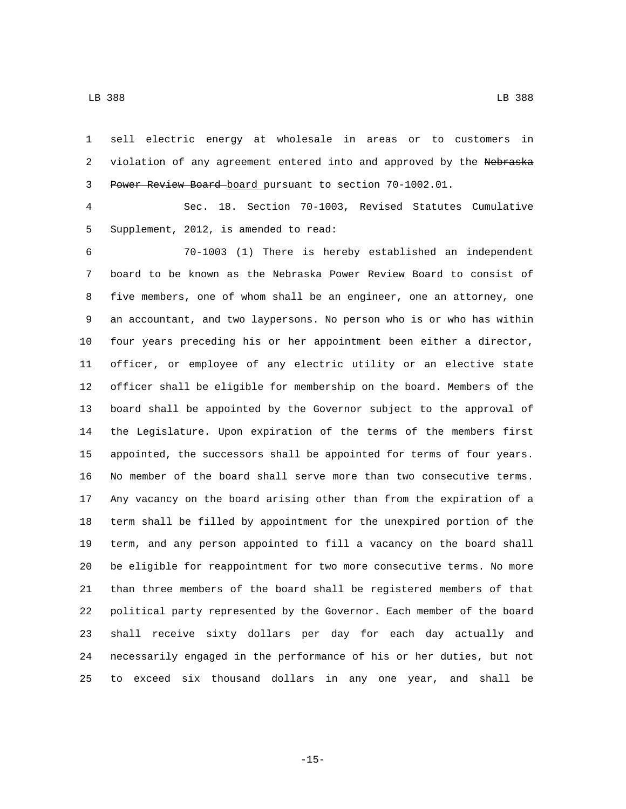sell electric energy at wholesale in areas or to customers in 2 violation of any agreement entered into and approved by the Nebraska Power Review Board board pursuant to section 70-1002.01.

 Sec. 18. Section 70-1003, Revised Statutes Cumulative 5 Supplement, 2012, is amended to read:

 70-1003 (1) There is hereby established an independent board to be known as the Nebraska Power Review Board to consist of five members, one of whom shall be an engineer, one an attorney, one an accountant, and two laypersons. No person who is or who has within four years preceding his or her appointment been either a director, officer, or employee of any electric utility or an elective state officer shall be eligible for membership on the board. Members of the board shall be appointed by the Governor subject to the approval of the Legislature. Upon expiration of the terms of the members first appointed, the successors shall be appointed for terms of four years. No member of the board shall serve more than two consecutive terms. Any vacancy on the board arising other than from the expiration of a term shall be filled by appointment for the unexpired portion of the term, and any person appointed to fill a vacancy on the board shall be eligible for reappointment for two more consecutive terms. No more than three members of the board shall be registered members of that political party represented by the Governor. Each member of the board shall receive sixty dollars per day for each day actually and necessarily engaged in the performance of his or her duties, but not to exceed six thousand dollars in any one year, and shall be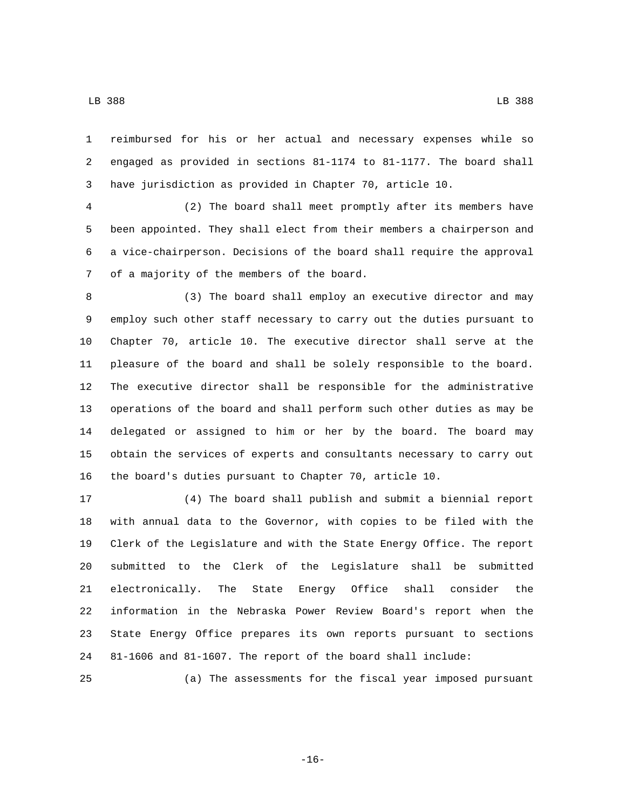LB 388 LB 388

 reimbursed for his or her actual and necessary expenses while so engaged as provided in sections 81-1174 to 81-1177. The board shall have jurisdiction as provided in Chapter 70, article 10.

 (2) The board shall meet promptly after its members have been appointed. They shall elect from their members a chairperson and a vice-chairperson. Decisions of the board shall require the approval 7 of a majority of the members of the board.

 (3) The board shall employ an executive director and may employ such other staff necessary to carry out the duties pursuant to Chapter 70, article 10. The executive director shall serve at the pleasure of the board and shall be solely responsible to the board. The executive director shall be responsible for the administrative operations of the board and shall perform such other duties as may be delegated or assigned to him or her by the board. The board may obtain the services of experts and consultants necessary to carry out the board's duties pursuant to Chapter 70, article 10.

 (4) The board shall publish and submit a biennial report with annual data to the Governor, with copies to be filed with the Clerk of the Legislature and with the State Energy Office. The report submitted to the Clerk of the Legislature shall be submitted electronically. The State Energy Office shall consider the information in the Nebraska Power Review Board's report when the State Energy Office prepares its own reports pursuant to sections 81-1606 and 81-1607. The report of the board shall include:

(a) The assessments for the fiscal year imposed pursuant

-16-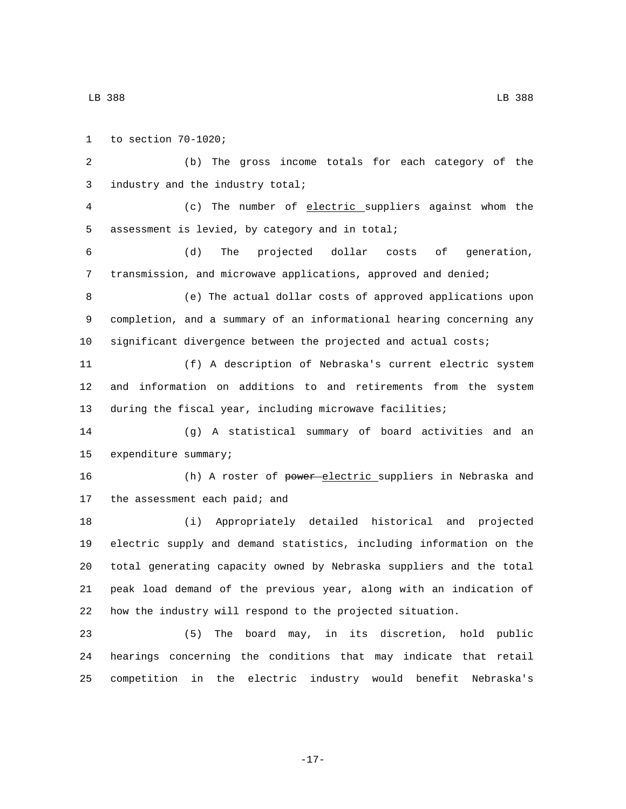1 to section  $70-1020$ ; (b) The gross income totals for each category of the 3 industry and the industry total; (c) The number of electric suppliers against whom the 5 assessment is levied, by category and in total; (d) The projected dollar costs of generation, transmission, and microwave applications, approved and denied; (e) The actual dollar costs of approved applications upon completion, and a summary of an informational hearing concerning any significant divergence between the projected and actual costs; (f) A description of Nebraska's current electric system and information on additions to and retirements from the system during the fiscal year, including microwave facilities; (g) A statistical summary of board activities and an 15 expenditure summary; 16 (h) A roster of power electric suppliers in Nebraska and 17 the assessment each paid; and (i) Appropriately detailed historical and projected electric supply and demand statistics, including information on the total generating capacity owned by Nebraska suppliers and the total peak load demand of the previous year, along with an indication of how the industry will respond to the projected situation. (5) The board may, in its discretion, hold public hearings concerning the conditions that may indicate that retail competition in the electric industry would benefit Nebraska's

-17-

LB 388 LB 388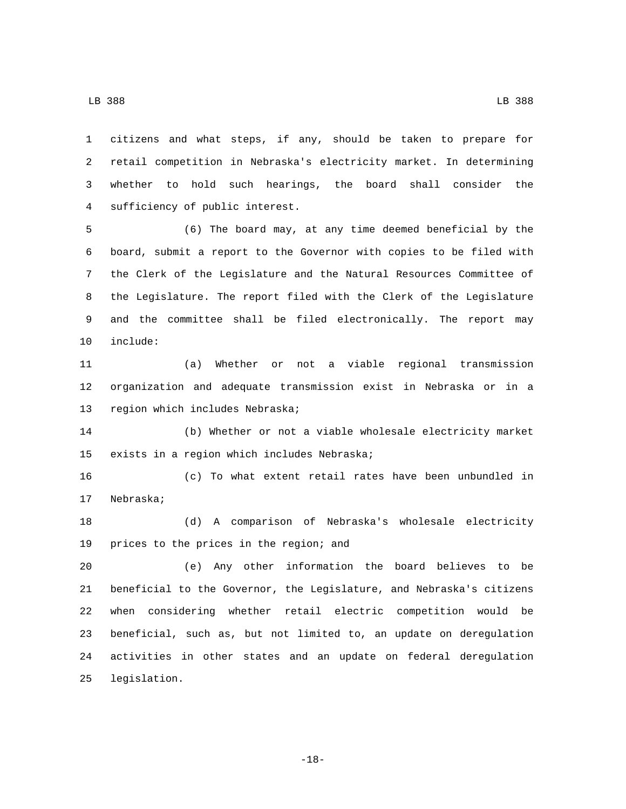citizens and what steps, if any, should be taken to prepare for retail competition in Nebraska's electricity market. In determining whether to hold such hearings, the board shall consider the sufficiency of public interest.4

 (6) The board may, at any time deemed beneficial by the board, submit a report to the Governor with copies to be filed with the Clerk of the Legislature and the Natural Resources Committee of the Legislature. The report filed with the Clerk of the Legislature and the committee shall be filed electronically. The report may 10 include:

 (a) Whether or not a viable regional transmission organization and adequate transmission exist in Nebraska or in a 13 region which includes Nebraska;

 (b) Whether or not a viable wholesale electricity market 15 exists in a region which includes Nebraska;

 (c) To what extent retail rates have been unbundled in 17 Nebraska;

 (d) A comparison of Nebraska's wholesale electricity 19 prices to the prices in the region; and

 (e) Any other information the board believes to be beneficial to the Governor, the Legislature, and Nebraska's citizens when considering whether retail electric competition would be beneficial, such as, but not limited to, an update on deregulation activities in other states and an update on federal deregulation 25 legislation.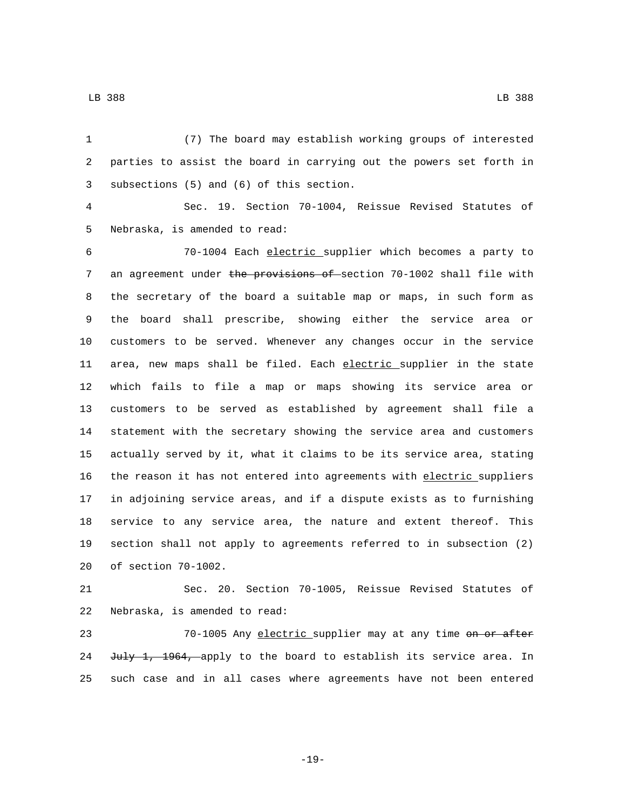(7) The board may establish working groups of interested parties to assist the board in carrying out the powers set forth in 3 subsections (5) and (6) of this section. Sec. 19. Section 70-1004, Reissue Revised Statutes of 5 Nebraska, is amended to read: 70-1004 Each electric supplier which becomes a party to 7 an agreement under the provisions of section 70-1002 shall file with the secretary of the board a suitable map or maps, in such form as the board shall prescribe, showing either the service area or customers to be served. Whenever any changes occur in the service 11 area, new maps shall be filed. Each electric supplier in the state which fails to file a map or maps showing its service area or customers to be served as established by agreement shall file a statement with the secretary showing the service area and customers actually served by it, what it claims to be its service area, stating the reason it has not entered into agreements with electric suppliers in adjoining service areas, and if a dispute exists as to furnishing service to any service area, the nature and extent thereof. This section shall not apply to agreements referred to in subsection (2) 20 of section 70-1002.

 Sec. 20. Section 70-1005, Reissue Revised Statutes of 22 Nebraska, is amended to read:

23 70-1005 Any electric supplier may at any time on or after 24 July 1, 1964, apply to the board to establish its service area. In such case and in all cases where agreements have not been entered

-19-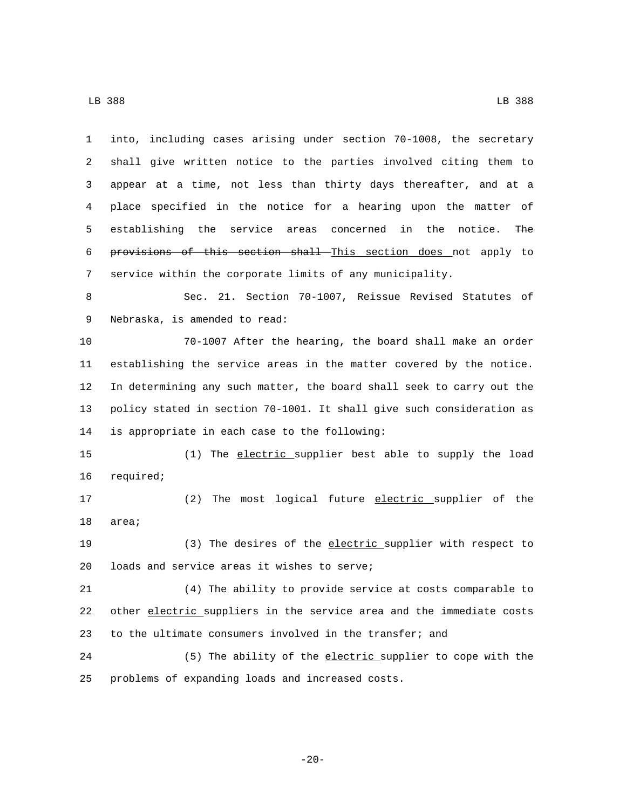LB 388 LB 388

 into, including cases arising under section 70-1008, the secretary shall give written notice to the parties involved citing them to appear at a time, not less than thirty days thereafter, and at a place specified in the notice for a hearing upon the matter of establishing the service areas concerned in the notice. The provisions of this section shall This section does not apply to service within the corporate limits of any municipality. Sec. 21. Section 70-1007, Reissue Revised Statutes of 9 Nebraska, is amended to read: 70-1007 After the hearing, the board shall make an order establishing the service areas in the matter covered by the notice. In determining any such matter, the board shall seek to carry out the policy stated in section 70-1001. It shall give such consideration as 14 is appropriate in each case to the following: (1) The electric supplier best able to supply the load 16 required; 17 (2) The most logical future electric supplier of the 18 area; (3) The desires of the electric supplier with respect to 20 loads and service areas it wishes to serve; (4) The ability to provide service at costs comparable to other electric suppliers in the service area and the immediate costs to the ultimate consumers involved in the transfer; and (5) The ability of the electric supplier to cope with the 25 problems of expanding loads and increased costs.

-20-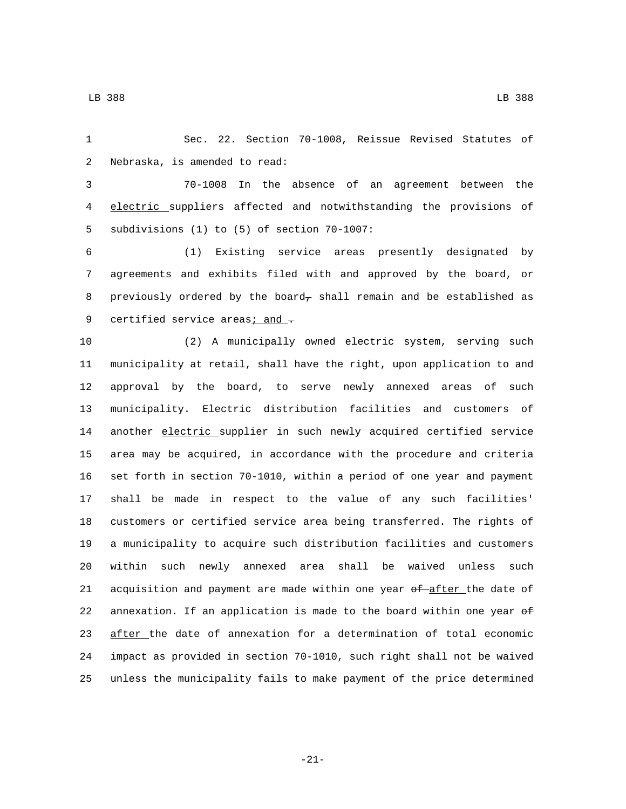Sec. 22. Section 70-1008, Reissue Revised Statutes of 2 Nebraska, is amended to read:

 70-1008 In the absence of an agreement between the electric suppliers affected and notwithstanding the provisions of 5 subdivisions (1) to (5) of section 70-1007:

 (1) Existing service areas presently designated by agreements and exhibits filed with and approved by the board, or 8 previously ordered by the board, shall remain and be established as 9 certified service areas $\frac{1}{2}$  and  $\frac{1}{2}$ 

 (2) A municipally owned electric system, serving such municipality at retail, shall have the right, upon application to and approval by the board, to serve newly annexed areas of such municipality. Electric distribution facilities and customers of 14 another electric supplier in such newly acquired certified service area may be acquired, in accordance with the procedure and criteria set forth in section 70-1010, within a period of one year and payment shall be made in respect to the value of any such facilities' customers or certified service area being transferred. The rights of a municipality to acquire such distribution facilities and customers within such newly annexed area shall be waived unless such 21 acquisition and payment are made within one year of after the date of 22 annexation. If an application is made to the board within one year  $\theta$  after the date of annexation for a determination of total economic impact as provided in section 70-1010, such right shall not be waived unless the municipality fails to make payment of the price determined

-21-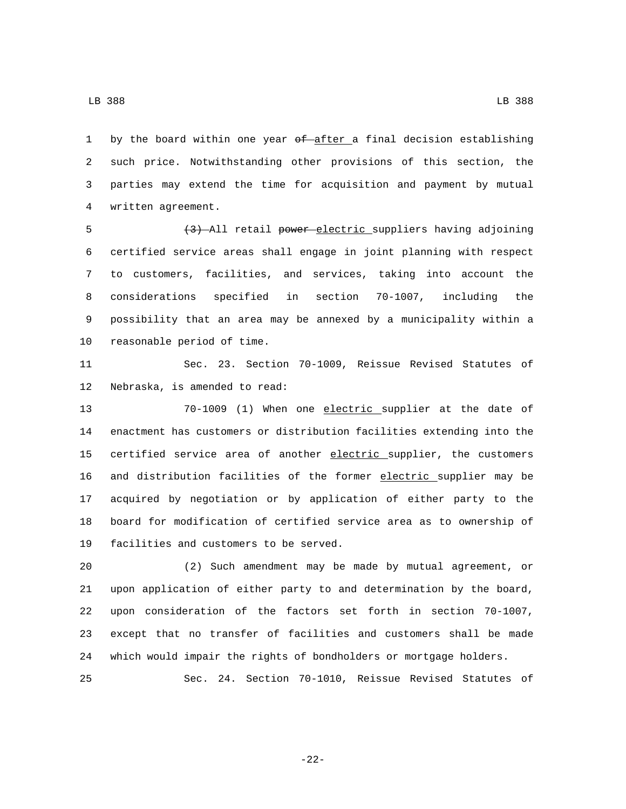1 by the board within one year of after a final decision establishing such price. Notwithstanding other provisions of this section, the parties may extend the time for acquisition and payment by mutual written agreement.4

5 (3) All retail power electric suppliers having adjoining certified service areas shall engage in joint planning with respect to customers, facilities, and services, taking into account the considerations specified in section 70-1007, including the possibility that an area may be annexed by a municipality within a 10 reasonable period of time.

 Sec. 23. Section 70-1009, Reissue Revised Statutes of 12 Nebraska, is amended to read:

 70-1009 (1) When one electric supplier at the date of enactment has customers or distribution facilities extending into the 15 certified service area of another electric supplier, the customers and distribution facilities of the former electric supplier may be acquired by negotiation or by application of either party to the board for modification of certified service area as to ownership of 19 facilities and customers to be served.

 (2) Such amendment may be made by mutual agreement, or upon application of either party to and determination by the board, upon consideration of the factors set forth in section 70-1007, except that no transfer of facilities and customers shall be made which would impair the rights of bondholders or mortgage holders.

Sec. 24. Section 70-1010, Reissue Revised Statutes of

-22-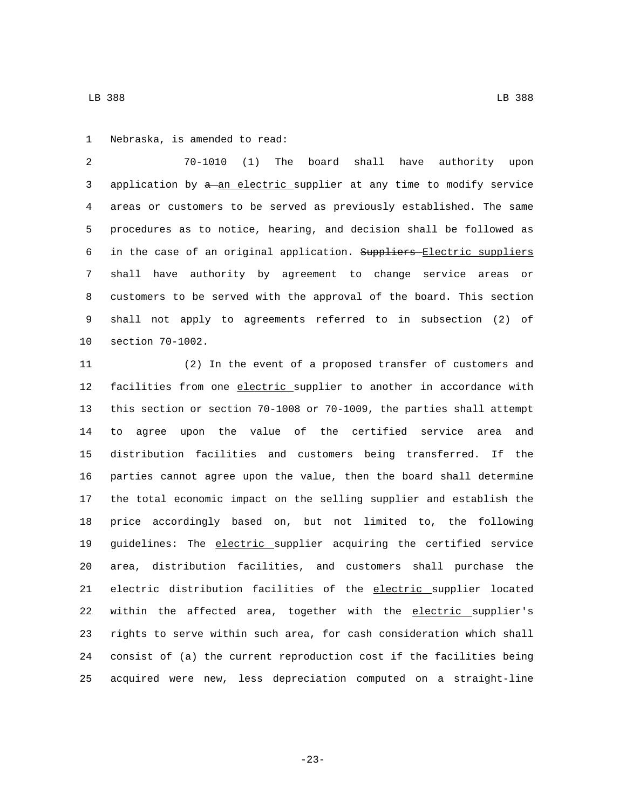1 Nebraska, is amended to read:

 70-1010 (1) The board shall have authority upon 3 application by  $a$ -an electric supplier at any time to modify service areas or customers to be served as previously established. The same procedures as to notice, hearing, and decision shall be followed as 6 in the case of an original application. Suppliers Electric suppliers shall have authority by agreement to change service areas or customers to be served with the approval of the board. This section shall not apply to agreements referred to in subsection (2) of 10 section 70-1002.

 (2) In the event of a proposed transfer of customers and 12 facilities from one electric supplier to another in accordance with this section or section 70-1008 or 70-1009, the parties shall attempt to agree upon the value of the certified service area and distribution facilities and customers being transferred. If the parties cannot agree upon the value, then the board shall determine the total economic impact on the selling supplier and establish the price accordingly based on, but not limited to, the following 19 guidelines: The electric supplier acquiring the certified service area, distribution facilities, and customers shall purchase the electric distribution facilities of the electric supplier located within the affected area, together with the electric supplier's rights to serve within such area, for cash consideration which shall consist of (a) the current reproduction cost if the facilities being acquired were new, less depreciation computed on a straight-line

LB 388 LB 388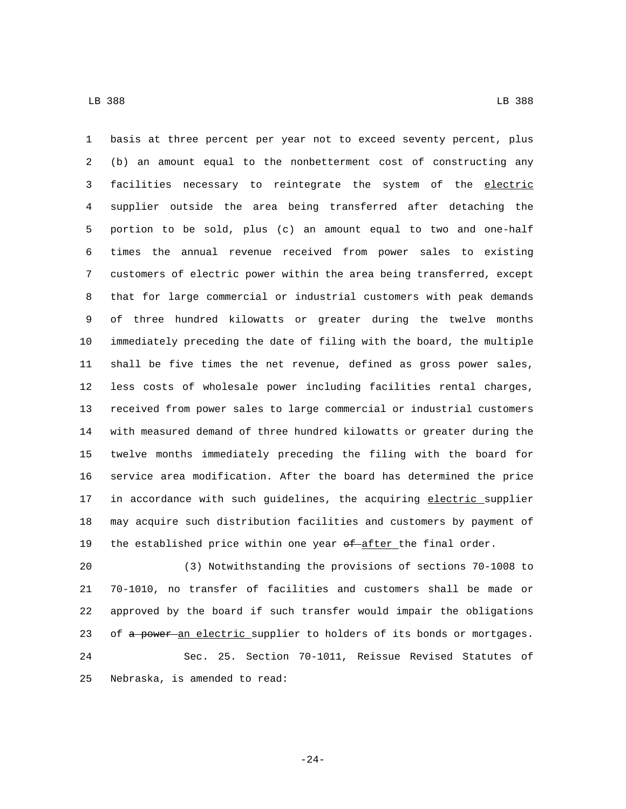basis at three percent per year not to exceed seventy percent, plus (b) an amount equal to the nonbetterment cost of constructing any 3 facilities necessary to reintegrate the system of the electric supplier outside the area being transferred after detaching the portion to be sold, plus (c) an amount equal to two and one-half times the annual revenue received from power sales to existing customers of electric power within the area being transferred, except that for large commercial or industrial customers with peak demands of three hundred kilowatts or greater during the twelve months immediately preceding the date of filing with the board, the multiple shall be five times the net revenue, defined as gross power sales, less costs of wholesale power including facilities rental charges, received from power sales to large commercial or industrial customers with measured demand of three hundred kilowatts or greater during the twelve months immediately preceding the filing with the board for service area modification. After the board has determined the price 17 in accordance with such guidelines, the acquiring electric supplier may acquire such distribution facilities and customers by payment of 19 the established price within one year  $of$ -after the final order.

 (3) Notwithstanding the provisions of sections 70-1008 to 70-1010, no transfer of facilities and customers shall be made or approved by the board if such transfer would impair the obligations 23 of a power an electric supplier to holders of its bonds or mortgages. Sec. 25. Section 70-1011, Reissue Revised Statutes of 25 Nebraska, is amended to read:

-24-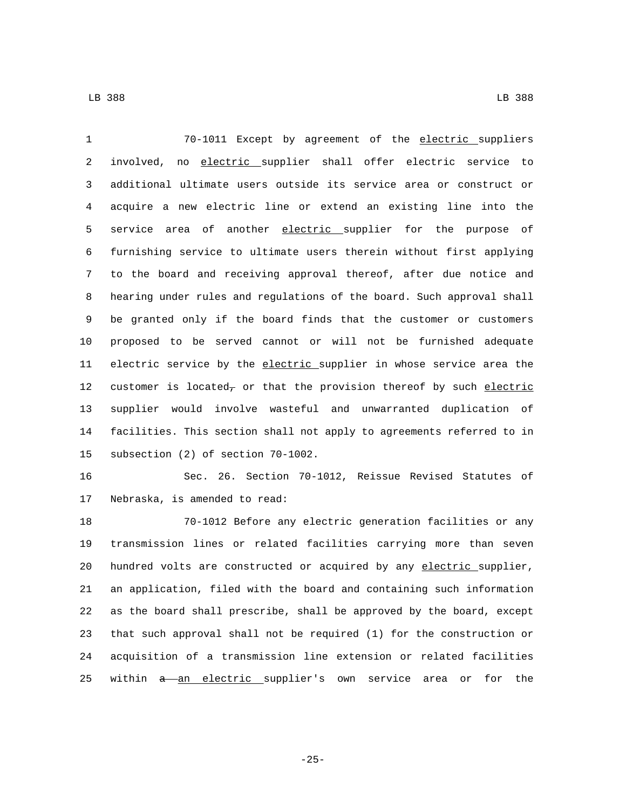70-1011 Except by agreement of the electric suppliers involved, no electric supplier shall offer electric service to additional ultimate users outside its service area or construct or acquire a new electric line or extend an existing line into the 5 service area of another electric supplier for the purpose of furnishing service to ultimate users therein without first applying to the board and receiving approval thereof, after due notice and hearing under rules and regulations of the board. Such approval shall be granted only if the board finds that the customer or customers proposed to be served cannot or will not be furnished adequate 11 electric service by the electric supplier in whose service area the 12 customer is located, or that the provision thereof by such electric supplier would involve wasteful and unwarranted duplication of facilities. This section shall not apply to agreements referred to in 15 subsection (2) of section 70-1002.

 Sec. 26. Section 70-1012, Reissue Revised Statutes of 17 Nebraska, is amended to read:

 70-1012 Before any electric generation facilities or any transmission lines or related facilities carrying more than seven 20 hundred volts are constructed or acquired by any electric supplier, an application, filed with the board and containing such information as the board shall prescribe, shall be approved by the board, except that such approval shall not be required (1) for the construction or acquisition of a transmission line extension or related facilities 25 within a an electric supplier's own service area or for the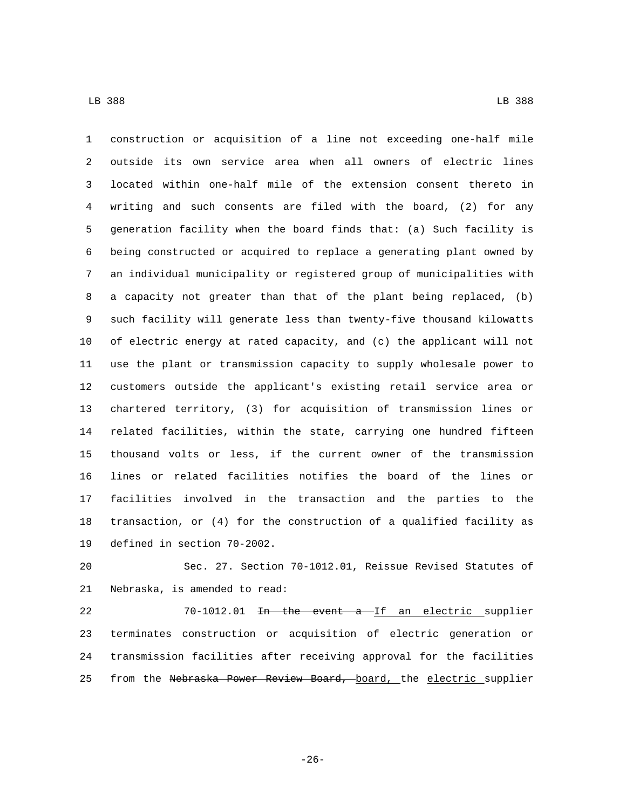construction or acquisition of a line not exceeding one-half mile outside its own service area when all owners of electric lines located within one-half mile of the extension consent thereto in writing and such consents are filed with the board, (2) for any generation facility when the board finds that: (a) Such facility is being constructed or acquired to replace a generating plant owned by an individual municipality or registered group of municipalities with a capacity not greater than that of the plant being replaced, (b) such facility will generate less than twenty-five thousand kilowatts of electric energy at rated capacity, and (c) the applicant will not use the plant or transmission capacity to supply wholesale power to customers outside the applicant's existing retail service area or chartered territory, (3) for acquisition of transmission lines or related facilities, within the state, carrying one hundred fifteen thousand volts or less, if the current owner of the transmission lines or related facilities notifies the board of the lines or facilities involved in the transaction and the parties to the transaction, or (4) for the construction of a qualified facility as 19 defined in section 70-2002.

 Sec. 27. Section 70-1012.01, Reissue Revised Statutes of 21 Nebraska, is amended to read:

22 70-1012.01 <del>In the event a If an electric supplier</del> terminates construction or acquisition of electric generation or transmission facilities after receiving approval for the facilities 25 from the Nebraska Power Review Board, board, the electric supplier

-26-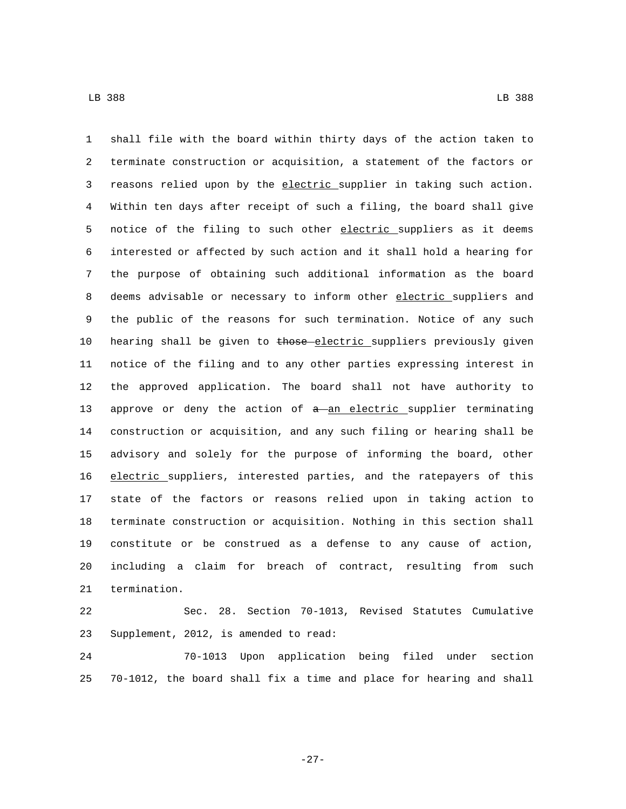shall file with the board within thirty days of the action taken to terminate construction or acquisition, a statement of the factors or 3 reasons relied upon by the electric supplier in taking such action. Within ten days after receipt of such a filing, the board shall give 5 notice of the filing to such other electric suppliers as it deems interested or affected by such action and it shall hold a hearing for the purpose of obtaining such additional information as the board 8 deems advisable or necessary to inform other electric suppliers and the public of the reasons for such termination. Notice of any such 10 hearing shall be given to those electric suppliers previously given notice of the filing and to any other parties expressing interest in the approved application. The board shall not have authority to 13 approve or deny the action of  $a$ -an electric supplier terminating construction or acquisition, and any such filing or hearing shall be advisory and solely for the purpose of informing the board, other electric suppliers, interested parties, and the ratepayers of this state of the factors or reasons relied upon in taking action to terminate construction or acquisition. Nothing in this section shall constitute or be construed as a defense to any cause of action, including a claim for breach of contract, resulting from such 21 termination.

 Sec. 28. Section 70-1013, Revised Statutes Cumulative 23 Supplement, 2012, is amended to read:

 70-1013 Upon application being filed under section 70-1012, the board shall fix a time and place for hearing and shall

-27-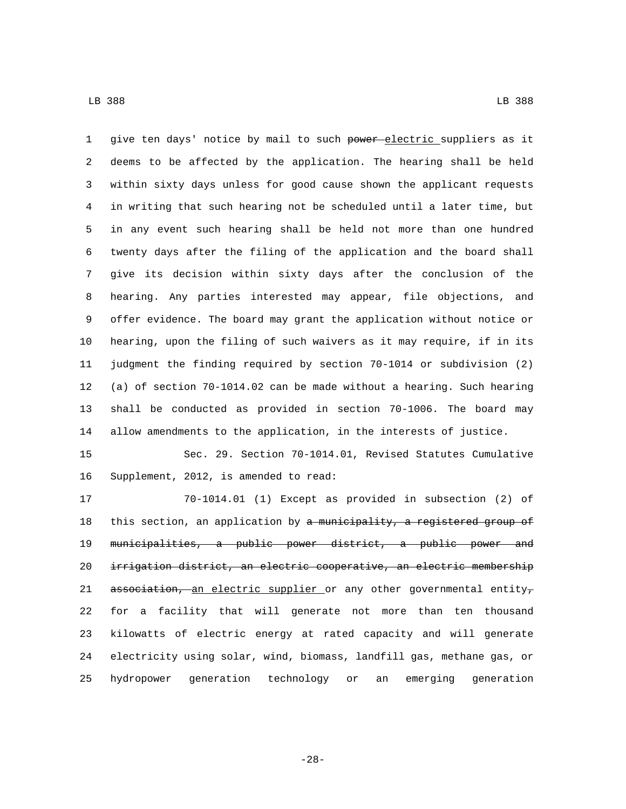1 give ten days' notice by mail to such power electric suppliers as it deems to be affected by the application. The hearing shall be held within sixty days unless for good cause shown the applicant requests in writing that such hearing not be scheduled until a later time, but in any event such hearing shall be held not more than one hundred twenty days after the filing of the application and the board shall give its decision within sixty days after the conclusion of the hearing. Any parties interested may appear, file objections, and offer evidence. The board may grant the application without notice or hearing, upon the filing of such waivers as it may require, if in its judgment the finding required by section 70-1014 or subdivision (2) (a) of section 70-1014.02 can be made without a hearing. Such hearing shall be conducted as provided in section 70-1006. The board may allow amendments to the application, in the interests of justice.

 Sec. 29. Section 70-1014.01, Revised Statutes Cumulative 16 Supplement, 2012, is amended to read:

 70-1014.01 (1) Except as provided in subsection (2) of 18 this section, an application by a municipality, a registered group of municipalities, a public power district, a public power and irrigation district, an electric cooperative, an electric membership 21 association, an electric supplier or any other governmental entity, for a facility that will generate not more than ten thousand kilowatts of electric energy at rated capacity and will generate electricity using solar, wind, biomass, landfill gas, methane gas, or hydropower generation technology or an emerging generation

-28-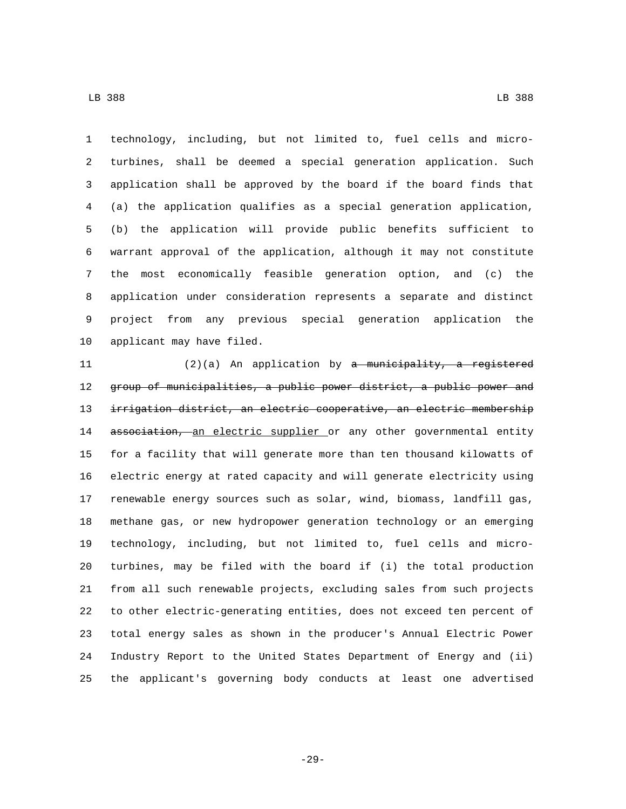technology, including, but not limited to, fuel cells and micro- turbines, shall be deemed a special generation application. Such application shall be approved by the board if the board finds that (a) the application qualifies as a special generation application, (b) the application will provide public benefits sufficient to warrant approval of the application, although it may not constitute the most economically feasible generation option, and (c) the application under consideration represents a separate and distinct project from any previous special generation application the 10 applicant may have filed.

 (2)(a) An application by a municipality, a registered group of municipalities, a public power district, a public power and irrigation district, an electric cooperative, an electric membership 14 association, an electric supplier or any other governmental entity for a facility that will generate more than ten thousand kilowatts of electric energy at rated capacity and will generate electricity using renewable energy sources such as solar, wind, biomass, landfill gas, methane gas, or new hydropower generation technology or an emerging technology, including, but not limited to, fuel cells and micro- turbines, may be filed with the board if (i) the total production from all such renewable projects, excluding sales from such projects to other electric-generating entities, does not exceed ten percent of total energy sales as shown in the producer's Annual Electric Power Industry Report to the United States Department of Energy and (ii) the applicant's governing body conducts at least one advertised

-29-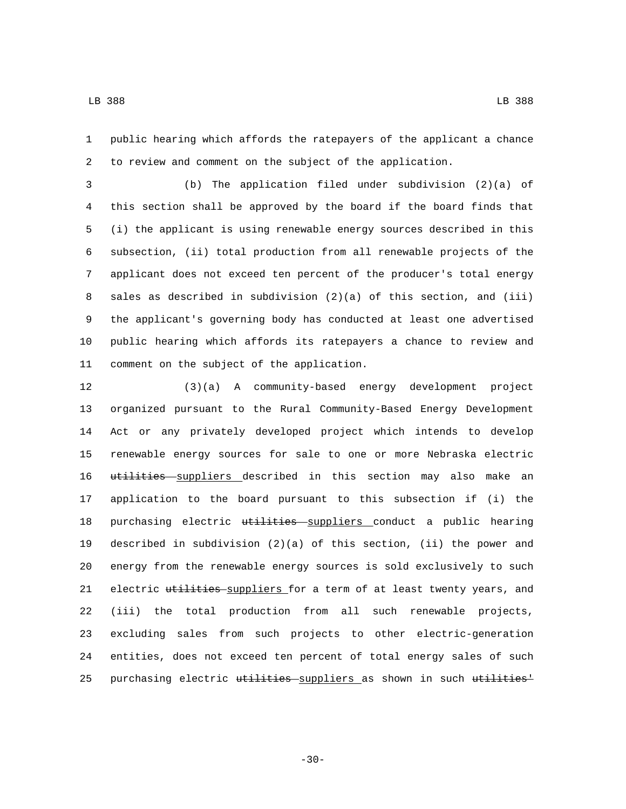public hearing which affords the ratepayers of the applicant a chance to review and comment on the subject of the application.

 (b) The application filed under subdivision (2)(a) of this section shall be approved by the board if the board finds that (i) the applicant is using renewable energy sources described in this subsection, (ii) total production from all renewable projects of the applicant does not exceed ten percent of the producer's total energy sales as described in subdivision (2)(a) of this section, and (iii) the applicant's governing body has conducted at least one advertised public hearing which affords its ratepayers a chance to review and 11 comment on the subject of the application.

 (3)(a) A community-based energy development project organized pursuant to the Rural Community-Based Energy Development Act or any privately developed project which intends to develop renewable energy sources for sale to one or more Nebraska electric 16 utilities suppliers described in this section may also make an application to the board pursuant to this subsection if (i) the 18 purchasing electric utilities suppliers conduct a public hearing described in subdivision (2)(a) of this section, (ii) the power and energy from the renewable energy sources is sold exclusively to such 21 electric utilities suppliers for a term of at least twenty years, and (iii) the total production from all such renewable projects, excluding sales from such projects to other electric-generation entities, does not exceed ten percent of total energy sales of such 25 purchasing electric utilities suppliers as shown in such utilities<sup>1</sup>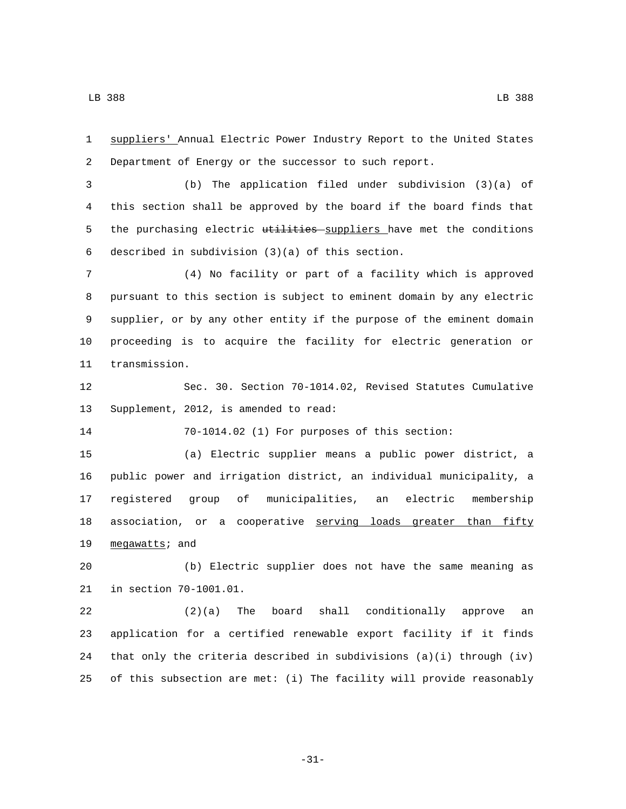suppliers' Annual Electric Power Industry Report to the United States Department of Energy or the successor to such report. (b) The application filed under subdivision (3)(a) of this section shall be approved by the board if the board finds that 5 the purchasing electric utilities suppliers have met the conditions 6 described in subdivision  $(3)(a)$  of this section. (4) No facility or part of a facility which is approved pursuant to this section is subject to eminent domain by any electric supplier, or by any other entity if the purpose of the eminent domain proceeding is to acquire the facility for electric generation or 11 transmission. Sec. 30. Section 70-1014.02, Revised Statutes Cumulative 13 Supplement, 2012, is amended to read: 70-1014.02 (1) For purposes of this section: (a) Electric supplier means a public power district, a public power and irrigation district, an individual municipality, a registered group of municipalities, an electric membership 18 association, or a cooperative serving loads greater than fifty 19 megawatts; and (b) Electric supplier does not have the same meaning as 21 in section 70-1001.01. (2)(a) The board shall conditionally approve an application for a certified renewable export facility if it finds that only the criteria described in subdivisions (a)(i) through (iv) of this subsection are met: (i) The facility will provide reasonably

-31-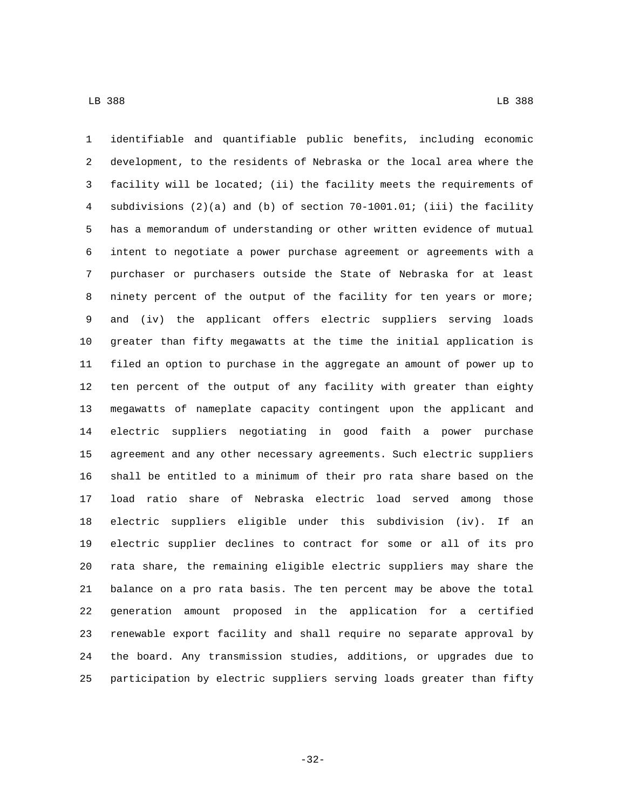identifiable and quantifiable public benefits, including economic development, to the residents of Nebraska or the local area where the facility will be located; (ii) the facility meets the requirements of subdivisions (2)(a) and (b) of section 70-1001.01; (iii) the facility has a memorandum of understanding or other written evidence of mutual intent to negotiate a power purchase agreement or agreements with a purchaser or purchasers outside the State of Nebraska for at least ninety percent of the output of the facility for ten years or more; and (iv) the applicant offers electric suppliers serving loads greater than fifty megawatts at the time the initial application is filed an option to purchase in the aggregate an amount of power up to ten percent of the output of any facility with greater than eighty megawatts of nameplate capacity contingent upon the applicant and electric suppliers negotiating in good faith a power purchase agreement and any other necessary agreements. Such electric suppliers shall be entitled to a minimum of their pro rata share based on the load ratio share of Nebraska electric load served among those electric suppliers eligible under this subdivision (iv). If an electric supplier declines to contract for some or all of its pro rata share, the remaining eligible electric suppliers may share the balance on a pro rata basis. The ten percent may be above the total generation amount proposed in the application for a certified renewable export facility and shall require no separate approval by the board. Any transmission studies, additions, or upgrades due to participation by electric suppliers serving loads greater than fifty

-32-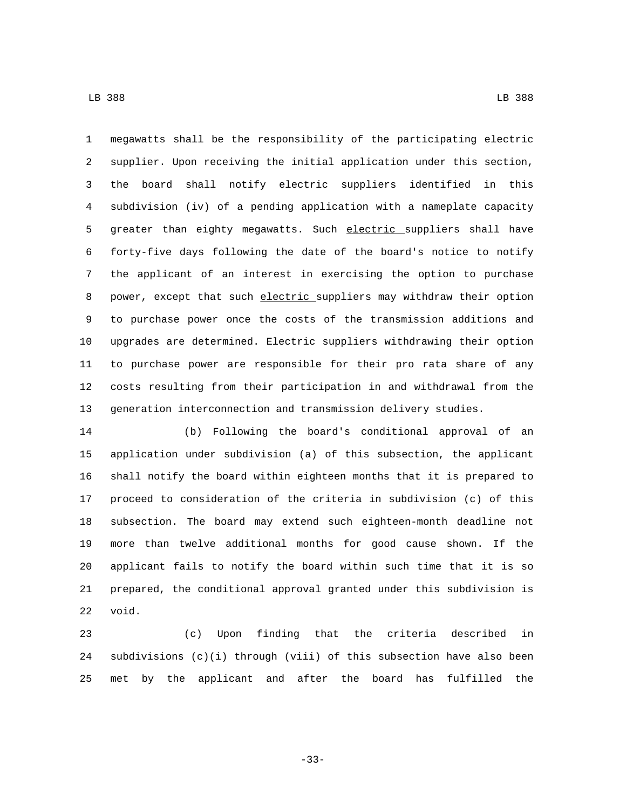megawatts shall be the responsibility of the participating electric supplier. Upon receiving the initial application under this section, the board shall notify electric suppliers identified in this subdivision (iv) of a pending application with a nameplate capacity 5 greater than eighty megawatts. Such electric suppliers shall have forty-five days following the date of the board's notice to notify the applicant of an interest in exercising the option to purchase 8 power, except that such electric suppliers may withdraw their option to purchase power once the costs of the transmission additions and upgrades are determined. Electric suppliers withdrawing their option to purchase power are responsible for their pro rata share of any costs resulting from their participation in and withdrawal from the generation interconnection and transmission delivery studies.

 (b) Following the board's conditional approval of an application under subdivision (a) of this subsection, the applicant shall notify the board within eighteen months that it is prepared to proceed to consideration of the criteria in subdivision (c) of this subsection. The board may extend such eighteen-month deadline not more than twelve additional months for good cause shown. If the applicant fails to notify the board within such time that it is so prepared, the conditional approval granted under this subdivision is 22 void.

 (c) Upon finding that the criteria described in subdivisions (c)(i) through (viii) of this subsection have also been met by the applicant and after the board has fulfilled the

-33-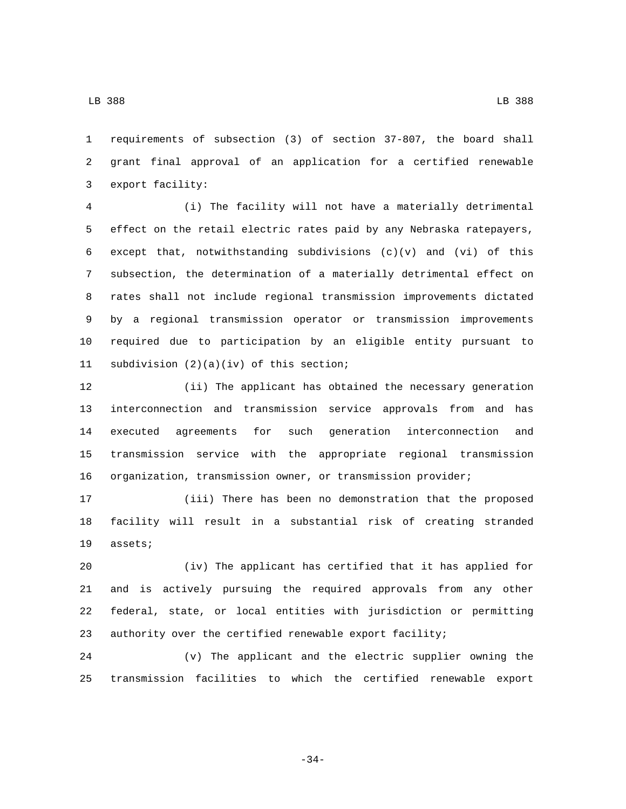requirements of subsection (3) of section 37-807, the board shall grant final approval of an application for a certified renewable 3 export facility:

 (i) The facility will not have a materially detrimental effect on the retail electric rates paid by any Nebraska ratepayers, except that, notwithstanding subdivisions (c)(v) and (vi) of this subsection, the determination of a materially detrimental effect on rates shall not include regional transmission improvements dictated by a regional transmission operator or transmission improvements required due to participation by an eligible entity pursuant to 11 subdivision  $(2)(a)(iv)$  of this section;

 (ii) The applicant has obtained the necessary generation interconnection and transmission service approvals from and has executed agreements for such generation interconnection and transmission service with the appropriate regional transmission organization, transmission owner, or transmission provider;

 (iii) There has been no demonstration that the proposed facility will result in a substantial risk of creating stranded 19 assets;

 (iv) The applicant has certified that it has applied for and is actively pursuing the required approvals from any other federal, state, or local entities with jurisdiction or permitting authority over the certified renewable export facility;

 (v) The applicant and the electric supplier owning the transmission facilities to which the certified renewable export

-34-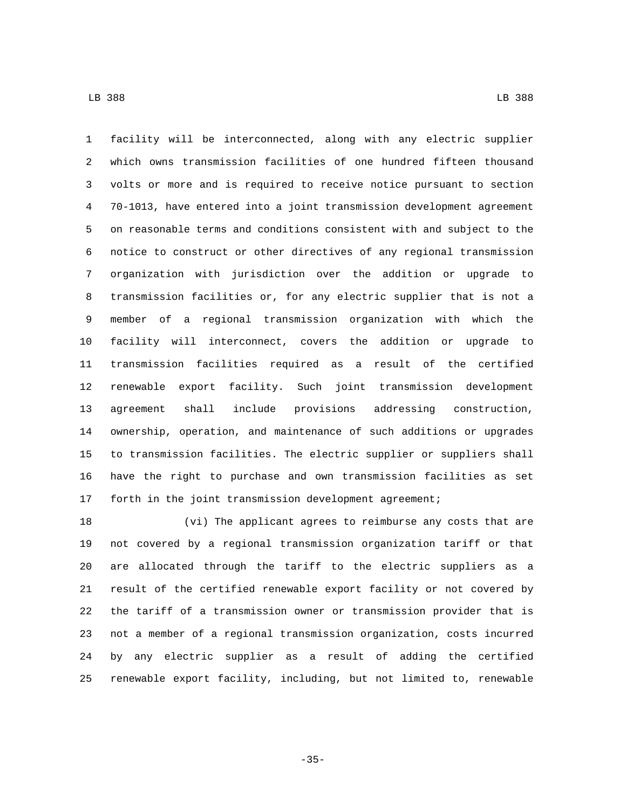facility will be interconnected, along with any electric supplier which owns transmission facilities of one hundred fifteen thousand volts or more and is required to receive notice pursuant to section 70-1013, have entered into a joint transmission development agreement on reasonable terms and conditions consistent with and subject to the notice to construct or other directives of any regional transmission organization with jurisdiction over the addition or upgrade to transmission facilities or, for any electric supplier that is not a member of a regional transmission organization with which the facility will interconnect, covers the addition or upgrade to transmission facilities required as a result of the certified renewable export facility. Such joint transmission development agreement shall include provisions addressing construction, ownership, operation, and maintenance of such additions or upgrades to transmission facilities. The electric supplier or suppliers shall have the right to purchase and own transmission facilities as set forth in the joint transmission development agreement;

 (vi) The applicant agrees to reimburse any costs that are not covered by a regional transmission organization tariff or that are allocated through the tariff to the electric suppliers as a result of the certified renewable export facility or not covered by the tariff of a transmission owner or transmission provider that is not a member of a regional transmission organization, costs incurred by any electric supplier as a result of adding the certified renewable export facility, including, but not limited to, renewable

-35-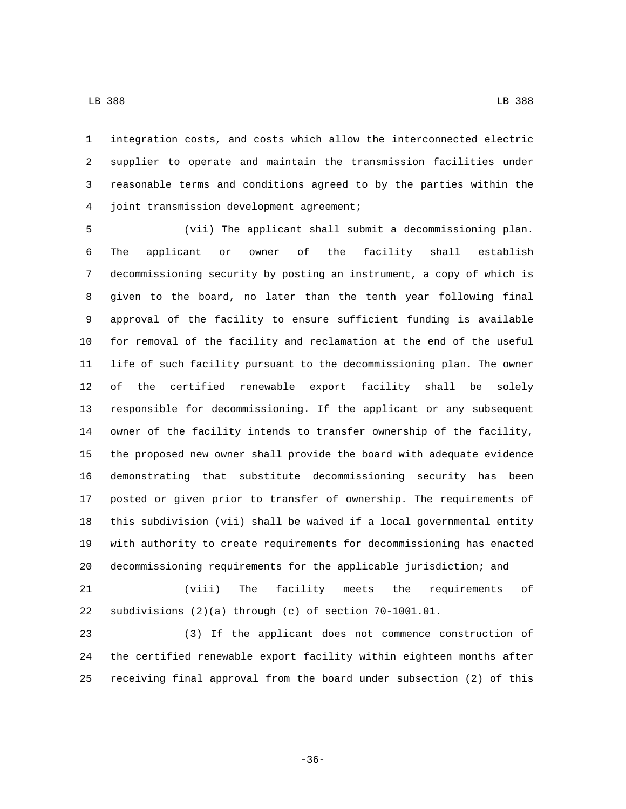integration costs, and costs which allow the interconnected electric

 supplier to operate and maintain the transmission facilities under reasonable terms and conditions agreed to by the parties within the joint transmission development agreement;4

 (vii) The applicant shall submit a decommissioning plan. The applicant or owner of the facility shall establish decommissioning security by posting an instrument, a copy of which is given to the board, no later than the tenth year following final approval of the facility to ensure sufficient funding is available for removal of the facility and reclamation at the end of the useful life of such facility pursuant to the decommissioning plan. The owner of the certified renewable export facility shall be solely responsible for decommissioning. If the applicant or any subsequent owner of the facility intends to transfer ownership of the facility, the proposed new owner shall provide the board with adequate evidence demonstrating that substitute decommissioning security has been posted or given prior to transfer of ownership. The requirements of this subdivision (vii) shall be waived if a local governmental entity with authority to create requirements for decommissioning has enacted decommissioning requirements for the applicable jurisdiction; and

 (viii) The facility meets the requirements of subdivisions (2)(a) through (c) of section 70-1001.01.

 (3) If the applicant does not commence construction of the certified renewable export facility within eighteen months after receiving final approval from the board under subsection (2) of this

-36-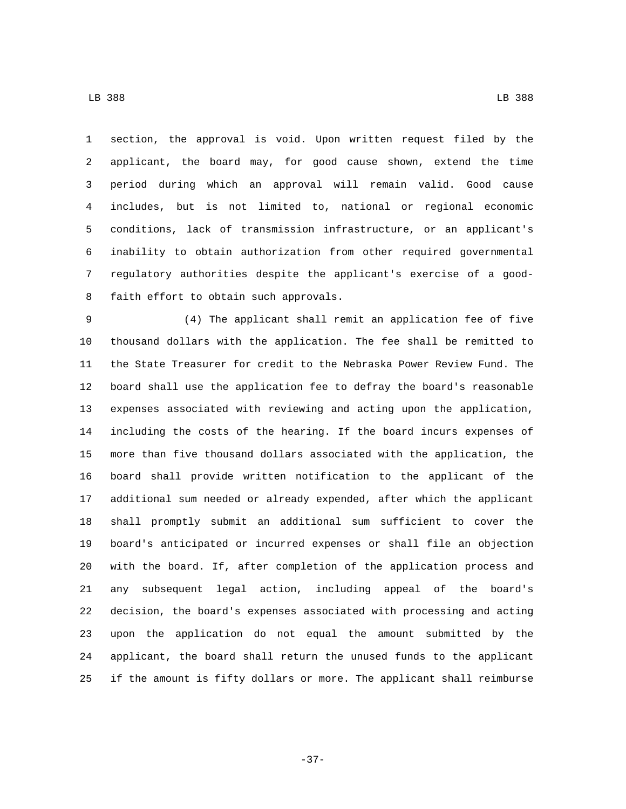LB 388 LB 388

 section, the approval is void. Upon written request filed by the applicant, the board may, for good cause shown, extend the time period during which an approval will remain valid. Good cause includes, but is not limited to, national or regional economic conditions, lack of transmission infrastructure, or an applicant's inability to obtain authorization from other required governmental regulatory authorities despite the applicant's exercise of a good-8 faith effort to obtain such approvals.

 (4) The applicant shall remit an application fee of five thousand dollars with the application. The fee shall be remitted to the State Treasurer for credit to the Nebraska Power Review Fund. The board shall use the application fee to defray the board's reasonable expenses associated with reviewing and acting upon the application, including the costs of the hearing. If the board incurs expenses of more than five thousand dollars associated with the application, the board shall provide written notification to the applicant of the additional sum needed or already expended, after which the applicant shall promptly submit an additional sum sufficient to cover the board's anticipated or incurred expenses or shall file an objection with the board. If, after completion of the application process and any subsequent legal action, including appeal of the board's decision, the board's expenses associated with processing and acting upon the application do not equal the amount submitted by the applicant, the board shall return the unused funds to the applicant if the amount is fifty dollars or more. The applicant shall reimburse

-37-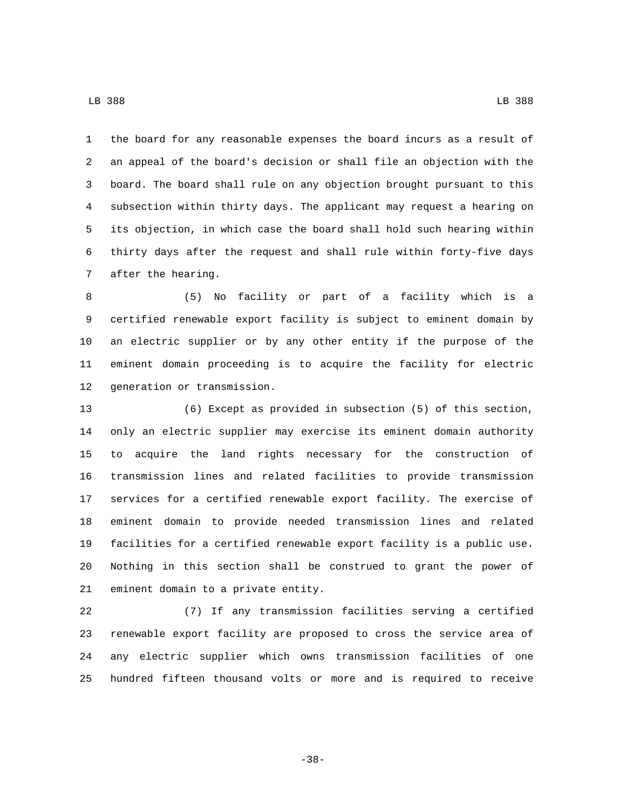the board for any reasonable expenses the board incurs as a result of an appeal of the board's decision or shall file an objection with the board. The board shall rule on any objection brought pursuant to this subsection within thirty days. The applicant may request a hearing on its objection, in which case the board shall hold such hearing within thirty days after the request and shall rule within forty-five days 7 after the hearing.

 (5) No facility or part of a facility which is a certified renewable export facility is subject to eminent domain by an electric supplier or by any other entity if the purpose of the eminent domain proceeding is to acquire the facility for electric 12 generation or transmission.

 (6) Except as provided in subsection (5) of this section, only an electric supplier may exercise its eminent domain authority to acquire the land rights necessary for the construction of transmission lines and related facilities to provide transmission services for a certified renewable export facility. The exercise of eminent domain to provide needed transmission lines and related facilities for a certified renewable export facility is a public use. Nothing in this section shall be construed to grant the power of 21 eminent domain to a private entity.

 (7) If any transmission facilities serving a certified renewable export facility are proposed to cross the service area of any electric supplier which owns transmission facilities of one hundred fifteen thousand volts or more and is required to receive

-38-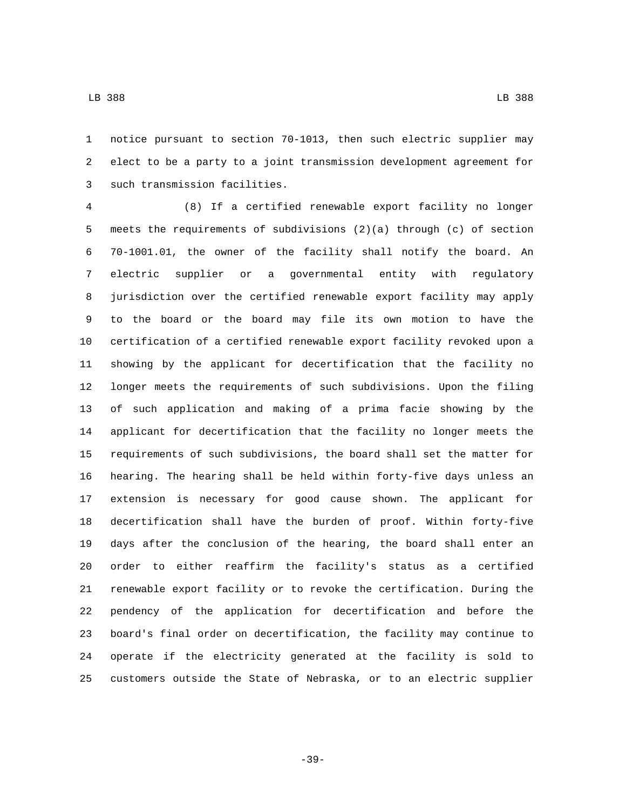notice pursuant to section 70-1013, then such electric supplier may elect to be a party to a joint transmission development agreement for 3 such transmission facilities.

 (8) If a certified renewable export facility no longer meets the requirements of subdivisions (2)(a) through (c) of section 70-1001.01, the owner of the facility shall notify the board. An electric supplier or a governmental entity with regulatory jurisdiction over the certified renewable export facility may apply to the board or the board may file its own motion to have the certification of a certified renewable export facility revoked upon a showing by the applicant for decertification that the facility no longer meets the requirements of such subdivisions. Upon the filing of such application and making of a prima facie showing by the applicant for decertification that the facility no longer meets the requirements of such subdivisions, the board shall set the matter for hearing. The hearing shall be held within forty-five days unless an extension is necessary for good cause shown. The applicant for decertification shall have the burden of proof. Within forty-five days after the conclusion of the hearing, the board shall enter an order to either reaffirm the facility's status as a certified renewable export facility or to revoke the certification. During the pendency of the application for decertification and before the board's final order on decertification, the facility may continue to operate if the electricity generated at the facility is sold to customers outside the State of Nebraska, or to an electric supplier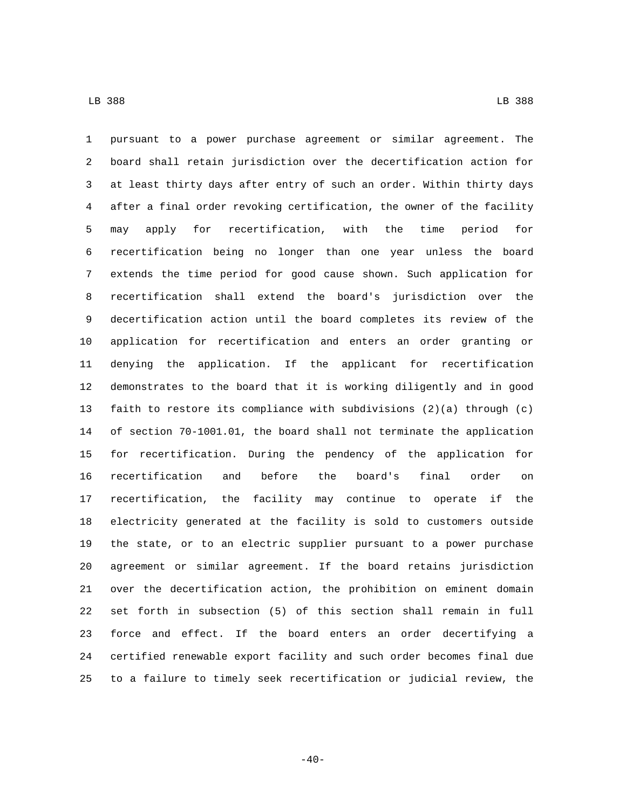pursuant to a power purchase agreement or similar agreement. The board shall retain jurisdiction over the decertification action for at least thirty days after entry of such an order. Within thirty days after a final order revoking certification, the owner of the facility may apply for recertification, with the time period for recertification being no longer than one year unless the board extends the time period for good cause shown. Such application for recertification shall extend the board's jurisdiction over the decertification action until the board completes its review of the application for recertification and enters an order granting or denying the application. If the applicant for recertification demonstrates to the board that it is working diligently and in good faith to restore its compliance with subdivisions (2)(a) through (c) of section 70-1001.01, the board shall not terminate the application for recertification. During the pendency of the application for recertification and before the board's final order on recertification, the facility may continue to operate if the electricity generated at the facility is sold to customers outside the state, or to an electric supplier pursuant to a power purchase agreement or similar agreement. If the board retains jurisdiction over the decertification action, the prohibition on eminent domain set forth in subsection (5) of this section shall remain in full force and effect. If the board enters an order decertifying a certified renewable export facility and such order becomes final due to a failure to timely seek recertification or judicial review, the

 $-40-$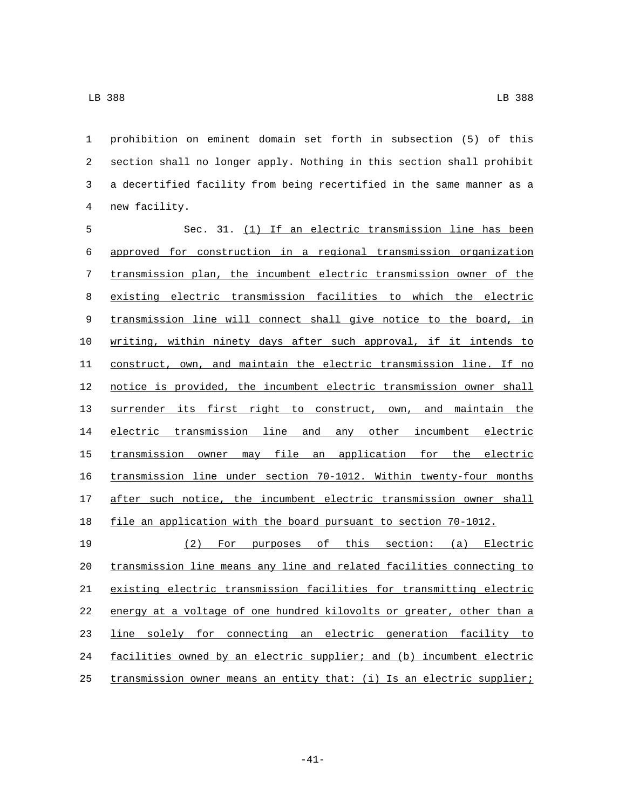prohibition on eminent domain set forth in subsection (5) of this section shall no longer apply. Nothing in this section shall prohibit a decertified facility from being recertified in the same manner as a new facility.4

5 Sec. 31. (1) If an electric transmission line has been approved for construction in a regional transmission organization transmission plan, the incumbent electric transmission owner of the existing electric transmission facilities to which the electric transmission line will connect shall give notice to the board, in writing, within ninety days after such approval, if it intends to construct, own, and maintain the electric transmission line. If no notice is provided, the incumbent electric transmission owner shall surrender its first right to construct, own, and maintain the electric transmission line and any other incumbent electric transmission owner may file an application for the electric transmission line under section 70-1012. Within twenty-four months 17 after such notice, the incumbent electric transmission owner shall file an application with the board pursuant to section 70-1012.

 (2) For purposes of this section: (a) Electric transmission line means any line and related facilities connecting to existing electric transmission facilities for transmitting electric energy at a voltage of one hundred kilovolts or greater, other than a line solely for connecting an electric generation facility to facilities owned by an electric supplier; and (b) incumbent electric transmission owner means an entity that: (i) Is an electric supplier;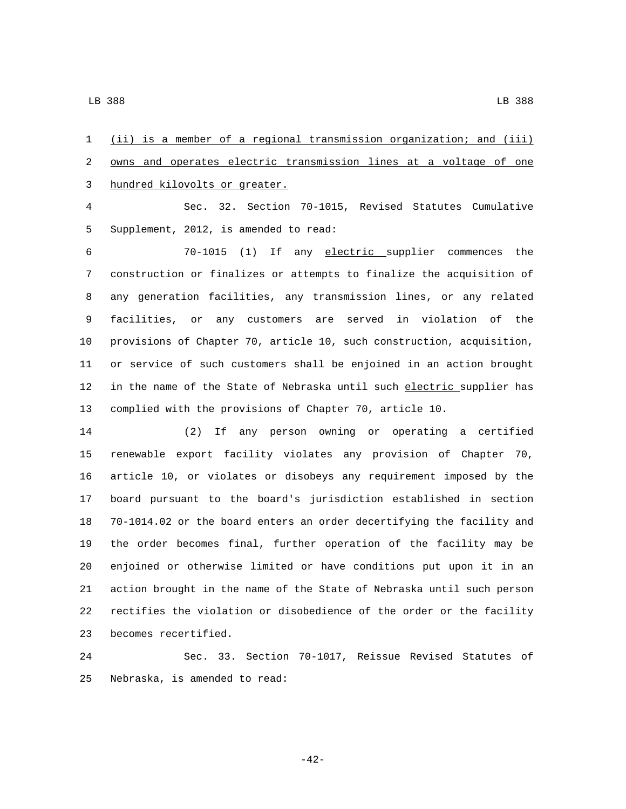(ii) is a member of a regional transmission organization; and (iii) owns and operates electric transmission lines at a voltage of one 3 hundred kilovolts or greater. Sec. 32. Section 70-1015, Revised Statutes Cumulative 5 Supplement, 2012, is amended to read: 70-1015 (1) If any electric supplier commences the construction or finalizes or attempts to finalize the acquisition of any generation facilities, any transmission lines, or any related facilities, or any customers are served in violation of the provisions of Chapter 70, article 10, such construction, acquisition, or service of such customers shall be enjoined in an action brought 12 in the name of the State of Nebraska until such electric supplier has complied with the provisions of Chapter 70, article 10. (2) If any person owning or operating a certified

 renewable export facility violates any provision of Chapter 70, article 10, or violates or disobeys any requirement imposed by the board pursuant to the board's jurisdiction established in section 70-1014.02 or the board enters an order decertifying the facility and the order becomes final, further operation of the facility may be enjoined or otherwise limited or have conditions put upon it in an action brought in the name of the State of Nebraska until such person rectifies the violation or disobedience of the order or the facility 23 becomes recertified.

 Sec. 33. Section 70-1017, Reissue Revised Statutes of 25 Nebraska, is amended to read:

-42-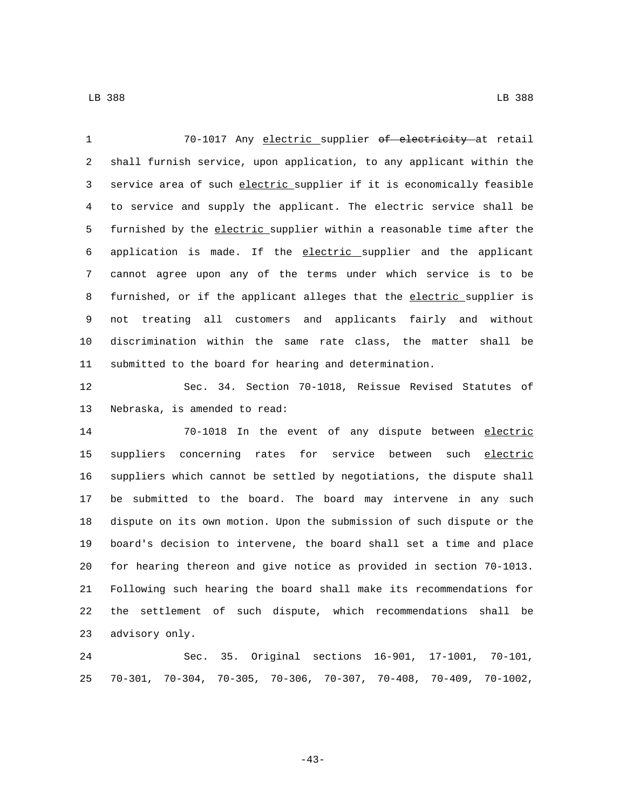70-1017 Any electric supplier of electricity at retail shall furnish service, upon application, to any applicant within the service area of such electric supplier if it is economically feasible to service and supply the applicant. The electric service shall be

 furnished by the electric supplier within a reasonable time after the application is made. If the electric supplier and the applicant cannot agree upon any of the terms under which service is to be 8 furnished, or if the applicant alleges that the electric supplier is not treating all customers and applicants fairly and without discrimination within the same rate class, the matter shall be submitted to the board for hearing and determination.

 Sec. 34. Section 70-1018, Reissue Revised Statutes of 13 Nebraska, is amended to read:

 70-1018 In the event of any dispute between electric 15 suppliers concerning rates for service between such electric suppliers which cannot be settled by negotiations, the dispute shall be submitted to the board. The board may intervene in any such dispute on its own motion. Upon the submission of such dispute or the board's decision to intervene, the board shall set a time and place for hearing thereon and give notice as provided in section 70-1013. Following such hearing the board shall make its recommendations for the settlement of such dispute, which recommendations shall be 23 advisory only.

 Sec. 35. Original sections 16-901, 17-1001, 70-101, 70-301, 70-304, 70-305, 70-306, 70-307, 70-408, 70-409, 70-1002,

-43-